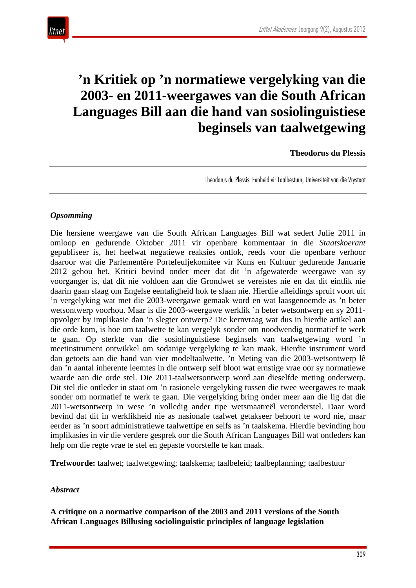# **'n Kritiek op 'n normatiewe vergelyking van die 2003- en 2011-weergawes van die South African Languages Bill aan die hand van sosiolinguistiese beginsels van taalwetgewing**

**Theodorus du Plessis**

Theodorus du Plessis: Eenheid vir Taalbestuur, Universiteit van die Vrystaat

#### *Opsomming*

Die hersiene weergawe van die South African Languages Bill wat sedert Julie 2011 in omloop en gedurende Oktober 2011 vir openbare kommentaar in die *Staatskoerant* gepubliseer is, het heelwat negatiewe reaksies ontlok, reeds voor die openbare verhoor daaroor wat die Parlementêre Portefeuljekomitee vir Kuns en Kultuur gedurende Januarie 2012 gehou het. Kritici bevind onder meer dat dit 'n afgewaterde weergawe van sy voorganger is, dat dit nie voldoen aan die Grondwet se vereistes nie en dat dit eintlik nie daarin gaan slaag om Engelse eentaligheid hok te slaan nie. Hierdie afleidings spruit voort uit 'n vergelyking wat met die 2003-weergawe gemaak word en wat laasgenoemde as 'n beter wetsontwerp voorhou. Maar is die 2003-weergawe werklik 'n beter wetsontwerp en sy 2011 opvolger by implikasie dan 'n slegter ontwerp? Die kernvraag wat dus in hierdie artikel aan die orde kom, is hoe om taalwette te kan vergelyk sonder om noodwendig normatief te werk te gaan. Op sterkte van die sosiolinguistiese beginsels van taalwetgewing word 'n meetinstrument ontwikkel om sodanige vergelyking te kan maak. Hierdie instrument word dan getoets aan die hand van vier modeltaalwette. 'n Meting van die 2003-wetsontwerp lê dan 'n aantal inherente leemtes in die ontwerp self bloot wat ernstige vrae oor sy normatiewe waarde aan die orde stel. Die 2011-taalwetsontwerp word aan dieselfde meting onderwerp. Dit stel die ontleder in staat om 'n rasionele vergelyking tussen die twee weergawes te maak sonder om normatief te werk te gaan. Die vergelyking bring onder meer aan die lig dat die 2011-wetsontwerp in wese 'n volledig ander tipe wetsmaatreël veronderstel. Daar word bevind dat dit in werklikheid nie as nasionale taalwet getakseer behoort te word nie, maar eerder as 'n soort administratiewe taalwettipe en selfs as 'n taalskema. Hierdie bevinding hou implikasies in vir die verdere gesprek oor die South African Languages Bill wat ontleders kan help om die regte vrae te stel en gepaste voorstelle te kan maak.

**Trefwoorde:** taalwet; taalwetgewing; taalskema; taalbeleid; taalbeplanning; taalbestuur

#### *Abstract*

**A critique on a normative comparison of the 2003 and 2011 versions of the South African Languages Billusing sociolinguistic principles of language legislation**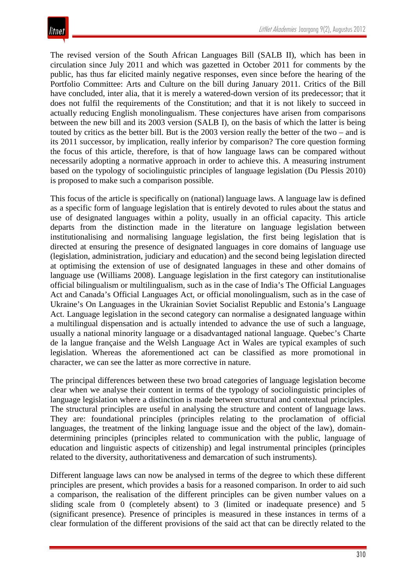The revised version of the South African Languages Bill (SALB II), which has been in circulation since July 2011 and which was gazetted in October 2011 for comments by the public, has thus far elicited mainly negative responses, even since before the hearing of the Portfolio Committee: Arts and Culture on the bill during January 2011. Critics of the Bill have concluded, inter alia, that it is merely a watered-down version of its predecessor; that it does not fulfil the requirements of the Constitution; and that it is not likely to succeed in actually reducing English monolingualism. These conjectures have arisen from comparisons between the new bill and its 2003 version (SALB I), on the basis of which the latter is being touted by critics as the better bill. But is the 2003 version really the better of the two – and is its 2011 successor, by implication, really inferior by comparison? The core question forming the focus of this article, therefore, is that of how language laws can be compared without necessarily adopting a normative approach in order to achieve this. A measuring instrument based on the typology of sociolinguistic principles of language legislation (Du Plessis 2010) is proposed to make such a comparison possible.

This focus of the article is specifically on (national) language laws. A language law is defined as a specific form of language legislation that is entirely devoted to rules about the status and use of designated languages within a polity, usually in an official capacity. This article departs from the distinction made in the literature on language legislation between institutionalising and normalising language legislation, the first being legislation that is directed at ensuring the presence of designated languages in core domains of language use (legislation, administration, judiciary and education) and the second being legislation directed at optimising the extension of use of designated languages in these and other domains of language use (Williams 2008). Language legislation in the first category can institutionalise official bilingualism or multilingualism, such as in the case of India's The Official Languages Act and Canada's Official Languages Act, or official monolingualism, such as in the case of Ukraine's On Languages in the Ukrainian Soviet Socialist Republic and Estonia's Language Act. Language legislation in the second category can normalise a designated language within a multilingual dispensation and is actually intended to advance the use of such a language, usually a national minority language or a disadvantaged national language. Quebec's Charte de la langue française and the Welsh Language Act in Wales are typical examples of such legislation. Whereas the aforementioned act can be classified as more promotional in character, we can see the latter as more corrective in nature.

The principal differences between these two broad categories of language legislation become clear when we analyse their content in terms of the typology of sociolinguistic principles of language legislation where a distinction is made between structural and contextual principles. The structural principles are useful in analysing the structure and content of language laws. They are: foundational principles (principles relating to the proclamation of official languages, the treatment of the linking language issue and the object of the law), domaindetermining principles (principles related to communication with the public, language of education and linguistic aspects of citizenship) and legal instrumental principles (principles related to the diversity, authoritativeness and demarcation of such instruments).

Different language laws can now be analysed in terms of the degree to which these different principles are present, which provides a basis for a reasoned comparison. In order to aid such a comparison, the realisation of the different principles can be given number values on a sliding scale from 0 (completely absent) to 3 (limited or inadequate presence) and 5 (significant presence). Presence of principles is measured in these instances in terms of a clear formulation of the different provisions of the said act that can be directly related to the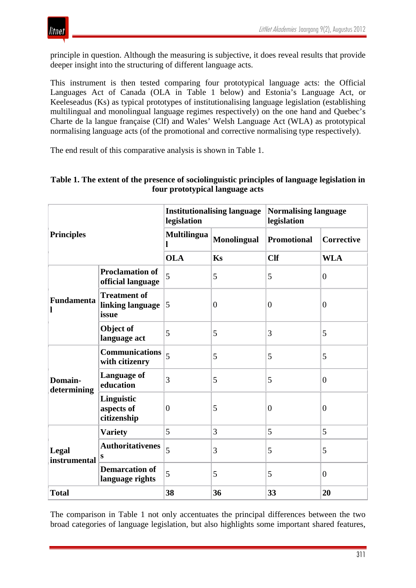

principle in question. Although the measuring is subjective, it does reveal results that provide deeper insight into the structuring of different language acts.

This instrument is then tested comparing four prototypical language acts: the Official Languages Act of Canada (OLA in Table 1 below) and Estonia's Language Act, or Keeleseadus (Ks) as typical prototypes of institutionalising language legislation (establishing multilingual and monolingual language regimes respectively) on the one hand and Quebec's Charte de la langue française (Clf) and Wales' Welsh Language Act (WLA) as prototypical normalising language acts (of the promotional and corrective normalising type respectively).

The end result of this comparative analysis is shown in Table 1.

| <b>Principles</b>      |                                                  | <b>Institutionalising language</b><br>legislation |                    | <b>Normalising language</b><br>legislation |                   |
|------------------------|--------------------------------------------------|---------------------------------------------------|--------------------|--------------------------------------------|-------------------|
|                        |                                                  | <b>Multilingua</b><br>1                           | <b>Monolingual</b> | <b>Promotional</b>                         | <b>Corrective</b> |
|                        |                                                  | <b>OLA</b>                                        | Ks                 | <b>Clf</b>                                 | <b>WLA</b>        |
| Fundamenta<br>l        | <b>Proclamation of</b><br>official language      | 5                                                 | 5                  | 5                                          | $\overline{0}$    |
|                        | <b>Treatment of</b><br>linking language<br>issue | 5                                                 | $\overline{0}$     | $\overline{0}$                             | $\overline{0}$    |
|                        | Object of<br>language act                        | 5                                                 | 5                  | 3                                          | 5                 |
| Domain-<br>determining | <b>Communications</b><br>with citizenry          | 5                                                 | 5                  | 5                                          | 5                 |
|                        | <b>Language of</b><br>education                  | 3                                                 | 5                  | 5                                          | $\overline{0}$    |
|                        | Linguistic<br>aspects of<br>citizenship          | $\overline{0}$                                    | 5                  | $\overline{0}$                             | $\overline{0}$    |
| Legal<br>instrumental  | <b>Variety</b>                                   | 5                                                 | 3                  | 5                                          | 5                 |
|                        | <b>Authoritativenes</b><br>S                     | 5                                                 | 3                  | 5                                          | 5                 |
|                        | <b>Demarcation of</b><br>language rights         | 5                                                 | 5                  | 5                                          | $\overline{0}$    |
| <b>Total</b>           |                                                  | 38                                                | 36                 | 33                                         | 20                |

#### **Table 1. The extent of the presence of sociolinguistic principles of language legislation in four prototypical language acts**

The comparison in Table 1 not only accentuates the principal differences between the two broad categories of language legislation, but also highlights some important shared features,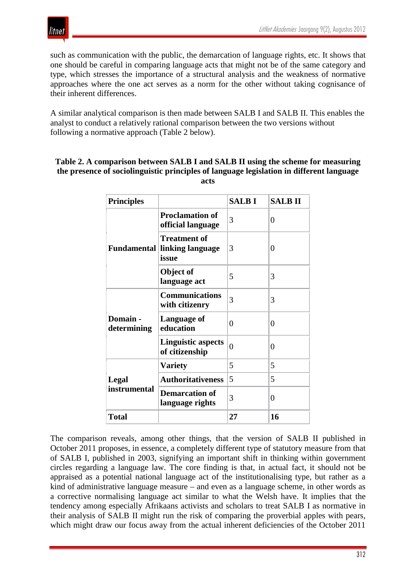



such as communication with the public, the demarcation of language rights, etc. It shows that one should be careful in comparing language acts that might not be of the same category and type, which stresses the importance of a structural analysis and the weakness of normative approaches where the one act serves as a norm for the other without taking cognisance of their inherent differences.

A similar analytical comparison is then made between SALB I and SALB II. This enables the analyst to conduct a relatively rational comparison between the two versions without following a normative approach (Table 2 below).

#### **Table 2. A comparison between SALB I and SALB II using the scheme for measuring the presence of sociolinguistic principles of language legislation in different language acts**

| <b>Principles</b>       |                                                  | <b>SALBI</b> | <b>SALBII</b> |
|-------------------------|--------------------------------------------------|--------------|---------------|
|                         | <b>Proclamation of</b><br>official language      | 3            | 0             |
| <b>Fundamental</b>      | <b>Treatment of</b><br>linking language<br>issue | 3            | 0             |
|                         | Object of<br>language act                        | 5            | 3             |
|                         | <b>Communications</b><br>with citizenry          | 3            | 3             |
| Domain -<br>determining | Language of<br>education                         | 0            | 0             |
|                         | <b>Linguistic aspects</b><br>of citizenship      | $\theta$     | 0             |
|                         | <b>Variety</b>                                   | 5            | 5             |
| Legal                   | <b>Authoritativeness</b>                         | 5            | 5             |
| instrumental            | <b>Demarcation of</b><br>language rights         | 3            | 0             |
| <b>Total</b>            |                                                  | 27           | 16            |

The comparison reveals, among other things, that the version of SALB II published in October 2011 proposes, in essence, a completely different type of statutory measure from that of SALB I, published in 2003, signifying an important shift in thinking within government circles regarding a language law. The core finding is that, in actual fact, it should not be appraised as a potential national language act of the institutionalising type, but rather as a kind of administrative language measure – and even as a language scheme, in other words as a corrective normalising language act similar to what the Welsh have. It implies that the tendency among especially Afrikaans activists and scholars to treat SALB I as normative in their analysis of SALB II might run the risk of comparing the proverbial apples with pears, which might draw our focus away from the actual inherent deficiencies of the October 2011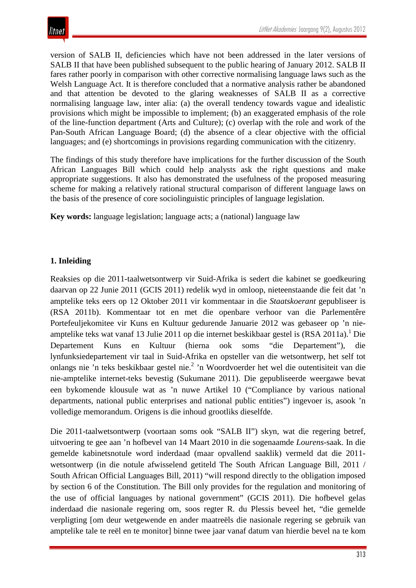version of SALB II, deficiencies which have not been addressed in the later versions of SALB II that have been published subsequent to the public hearing of January 2012. SALB II fares rather poorly in comparison with other corrective normalising language laws such as the Welsh Language Act. It is therefore concluded that a normative analysis rather be abandoned and that attention be devoted to the glaring weaknesses of SALB II as a corrective normalising language law, inter alia: (a) the overall tendency towards vague and idealistic provisions which might be impossible to implement; (b) an exaggerated emphasis of the role of the line-function department (Arts and Culture); (c) overlap with the role and work of the Pan-South African Language Board; (d) the absence of a clear objective with the official languages; and (e) shortcomings in provisions regarding communication with the citizenry.

The findings of this study therefore have implications for the further discussion of the South African Languages Bill which could help analysts ask the right questions and make appropriate suggestions. It also has demonstrated the usefulness of the proposed measuring scheme for making a relatively rational structural comparison of different language laws on the basis of the presence of core sociolinguistic principles of language legislation.

**Key words:** language legislation; language acts; a (national) language law

## **1. Inleiding**

Reaksies op die 2011-taalwetsontwerp vir Suid-Afrika is sedert die kabinet se goedkeuring daarvan op 22 Junie 2011 (GCIS 2011) redelik wyd in omloop, nieteenstaande die feit dat 'n amptelike teks eers op 12 Oktober 2011 vir kommentaar in die *Staatskoerant* gepubliseer is (RSA 2011b). Kommentaar tot en met die openbare verhoor van die Parlementêre Portefeuljekomitee vir Kuns en Kultuur gedurende Januarie 2012 was gebaseer op 'n nieamptelike teks wat vanaf 13 Julie 2011 op die internet beskikbaar gestel is (RSA 2011a). <sup>1</sup> Die Departement Kuns en Kultuur (hierna ook soms "die Departement"), die lynfunksiedepartement vir taal in Suid-Afrika en opsteller van die wetsontwerp, het self tot onlangs nie 'n teks beskikbaar gestel nie. <sup>2</sup> 'n Woordvoerder het wel die outentisiteit van die nie-amptelike internet-teks bevestig (Sukumane 2011). Die gepubliseerde weergawe bevat een bykomende klousule wat as 'n nuwe Artikel 10 ("Compliance by various national departments, national public enterprises and national public entities") ingevoer is, asook 'n volledige memorandum. Origens is die inhoud grootliks dieselfde.

Die 2011-taalwetsontwerp (voortaan soms ook "SALB II") skyn, wat die regering betref, uitvoering te gee aan 'n hofbevel van 14 Maart 2010 in die sogenaamde *Lourens*-saak. In die gemelde kabinetsnotule word inderdaad (maar opvallend saaklik) vermeld dat die 2011 wetsontwerp (in die notule afwisselend getiteld The South African Language Bill, 2011 / South African Official Languages Bill, 2011) "will respond directly to the obligation imposed by section 6 of the Constitution. The Bill only provides for the regulation and monitoring of the use of official languages by national government" (GCIS 2011). Die hofbevel gelas inderdaad die nasionale regering om, soos regter R. du Plessis beveel het, "die gemelde verpligting [om deur wetgewende en ander maatreëls die nasionale regering se gebruik van amptelike tale te reël en te monitor] binne twee jaar vanaf datum van hierdie bevel na te kom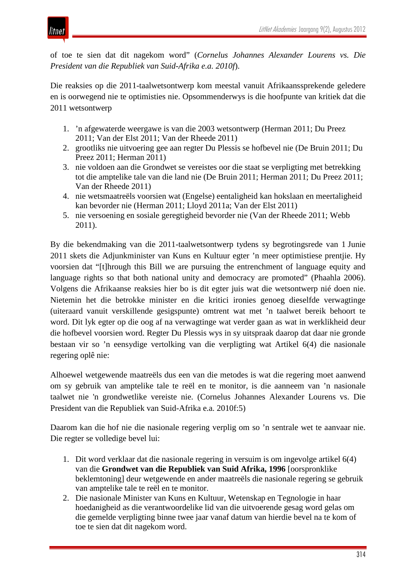

of toe te sien dat dit nagekom word" (*Cornelus Johannes Alexander Lourens vs. Die President van die Republiek van Suid-Afrika e.a. 2010f*).

Die reaksies op die 2011-taalwetsontwerp kom meestal vanuit Afrikaanssprekende geledere en is oorwegend nie te optimisties nie. Opsommenderwys is die hoofpunte van kritiek dat die 2011 wetsontwerp

- 1. 'n afgewaterde weergawe is van die 2003 wetsontwerp (Herman 2011; Du Preez 2011; Van der Elst 2011; Van der Rheede 2011)
- 2. grootliks nie uitvoering gee aan regter Du Plessis se hofbevel nie (De Bruin 2011; Du Preez 2011; Herman 2011)
- 3. nie voldoen aan die Grondwet se vereistes oor die staat se verpligting met betrekking tot die amptelike tale van die land nie (De Bruin 2011; Herman 2011; Du Preez 2011; Van der Rheede 2011)
- 4. nie wetsmaatreëls voorsien wat (Engelse) eentaligheid kan hokslaan en meertaligheid kan bevorder nie (Herman 2011; Lloyd 2011a; Van der Elst 2011)
- 5. nie versoening en sosiale geregtigheid bevorder nie (Van der Rheede 2011; Webb 2011).

By die bekendmaking van die 2011-taalwetsontwerp tydens sy begrotingsrede van 1 Junie 2011 skets die Adjunkminister van Kuns en Kultuur egter 'n meer optimistiese prentjie. Hy voorsien dat "[t]hrough this Bill we are pursuing the entrenchment of language equity and language rights so that both national unity and democracy are promoted" (Phaahla 2006). Volgens die Afrikaanse reaksies hier bo is dit egter juis wat die wetsontwerp nié doen nie. Nietemin het die betrokke minister en die kritici ironies genoeg dieselfde verwagtinge (uiteraard vanuit verskillende gesigspunte) omtrent wat met 'n taalwet bereik behoort te word. Dit lyk egter op die oog af na verwagtinge wat verder gaan as wat in werklikheid deur die hofbevel voorsien word. Regter Du Plessis wys in sy uitspraak daarop dat daar nie gronde bestaan vir so 'n eensydige vertolking van die verpligting wat Artikel 6(4) die nasionale regering oplê nie:

Alhoewel wetgewende maatreëls dus een van die metodes is wat die regering moet aanwend om sy gebruik van amptelike tale te reël en te monitor, is die aanneem van 'n nasionale taalwet nie 'n grondwetlike vereiste nie. (Cornelus Johannes Alexander Lourens vs. Die President van die Republiek van Suid-Afrika e.a. 2010f:5)

Daarom kan die hof nie die nasionale regering verplig om so 'n sentrale wet te aanvaar nie. Die regter se volledige bevel lui:

- 1. Dit word verklaar dat die nasionale regering in versuim is om ingevolge artikel 6(4) van die **Grondwet van die Republiek van Suid Afrika, 1996** [oorspronklike beklemtoning] deur wetgewende en ander maatreëls die nasionale regering se gebruik van amptelike tale te reël en te monitor.
- 2. Die nasionale Minister van Kuns en Kultuur, Wetenskap en Tegnologie in haar hoedanigheid as die verantwoordelike lid van die uitvoerende gesag word gelas om die gemelde verpligting binne twee jaar vanaf datum van hierdie bevel na te kom of toe te sien dat dit nagekom word.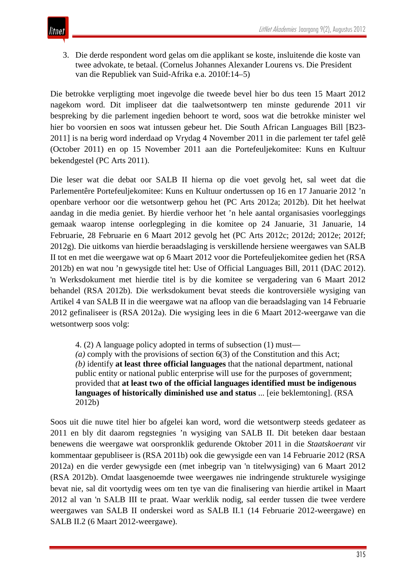

3. Die derde respondent word gelas om die applikant se koste, insluitende die koste van twee advokate, te betaal. (Cornelus Johannes Alexander Lourens vs. Die President van die Republiek van Suid-Afrika e.a. 2010f:14–5)

Die betrokke verpligting moet ingevolge die tweede bevel hier bo dus teen 15 Maart 2012 nagekom word. Dit impliseer dat die taalwetsontwerp ten minste gedurende 2011 vir bespreking by die parlement ingedien behoort te word, soos wat die betrokke minister wel hier bo voorsien en soos wat intussen gebeur het. Die South African Languages Bill [B23- 2011] is na berig word inderdaad op Vrydag 4 November 2011 in die parlement ter tafel gelê (October 2011) en op 15 November 2011 aan die Portefeuljekomitee: Kuns en Kultuur bekendgestel (PC Arts 2011).

Die leser wat die debat oor SALB II hierna op die voet gevolg het, sal weet dat die Parlementêre Portefeuljekomitee: Kuns en Kultuur ondertussen op 16 en 17 Januarie 2012 'n openbare verhoor oor die wetsontwerp gehou het (PC Arts 2012a; 2012b). Dit het heelwat aandag in die media geniet. By hierdie verhoor het 'n hele aantal organisasies voorleggings gemaak waarop intense oorlegpleging in die komitee op 24 Januarie, 31 Januarie, 14 Februarie, 28 Februarie en 6 Maart 2012 gevolg het (PC Arts 2012c; 2012d; 2012e; 2012f; 2012g). Die uitkoms van hierdie beraadslaging is verskillende hersiene weergawes van SALB II tot en met die weergawe wat op 6 Maart 2012 voor die Portefeuljekomitee gedien het (RSA 2012b) en wat nou 'n gewysigde titel het: Use of Official Languages Bill, 2011 (DAC 2012). 'n Werksdokument met hierdie titel is by die komitee se vergadering van 6 Maart 2012 behandel (RSA 2012b). Die werksdokument bevat steeds die kontroversiële wysiging van Artikel 4 van SALB II in die weergawe wat na afloop van die beraadslaging van 14 Februarie 2012 gefinaliseer is (RSA 2012a). Die wysiging lees in die 6 Maart 2012-weergawe van die wetsontwerp soos volg:

4. (2) A language policy adopted in terms of subsection (1) must—

*(a)* comply with the provisions of section 6(3) of the Constitution and this Act; *(b)* identify **at least three official languages** that the national department, national public entity or national public enterprise will use for the purposes of government; provided that **at least two of the official languages identified must be indigenous languages of historically diminished use and status** ... [eie beklemtoning]. (RSA 2012b)

Soos uit die nuwe titel hier bo afgelei kan word, word die wetsontwerp steeds gedateer as 2011 en bly dit daarom regstegnies 'n wysiging van SALB II. Dit beteken daar bestaan benewens die weergawe wat oorspronklik gedurende Oktober 2011 in die *Staatskoerant* vir kommentaar gepubliseer is (RSA 2011b) ook die gewysigde een van 14 Februarie 2012 (RSA 2012a) en die verder gewysigde een (met inbegrip van 'n titelwysiging) van 6 Maart 2012 (RSA 2012b). Omdat laasgenoemde twee weergawes nie indringende strukturele wysiginge bevat nie, sal dit voortydig wees om ten tye van die finalisering van hierdie artikel in Maart 2012 al van 'n SALB III te praat. Waar werklik nodig, sal eerder tussen die twee verdere weergawes van SALB II onderskei word as SALB II.1 (14 Februarie 2012-weergawe) en SALB II.2 (6 Maart 2012-weergawe).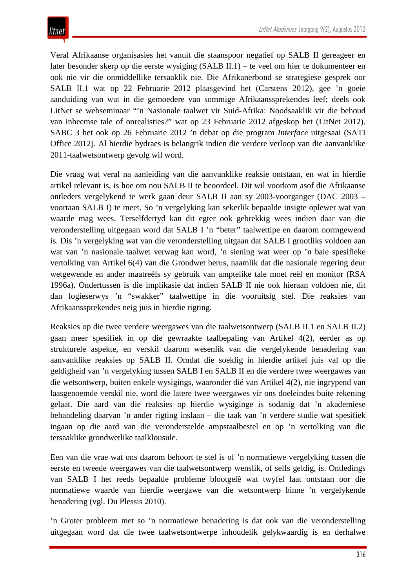Veral Afrikaanse organisasies het vanuit die staanspoor negatief op SALB II gereageer en later besonder skerp op die eerste wysiging (SALB II.1) – te veel om hier te dokumenteer en ook nie vir die onmiddellike tersaaklik nie. Die Afrikanerbond se strategiese gesprek oor SALB II.1 wat op 22 Februarie 2012 plaasgevind het (Carstens 2012), gee 'n goeie aanduiding van wat in die gemoedere van sommige Afrikaanssprekendes leef; deels ook LitNet se webseminaar "'n Nasionale taalwet vir Suid-Afrika: Noodsaaklik vir die behoud van inheemse tale of onrealisties?" wat op 23 Februarie 2012 afgeskop het (LitNet 2012). SABC 3 het ook op 26 Februarie 2012 'n debat op die program *Interface* uitgesaai (SATI Office 2012). Al hierdie bydraes is belangrik indien die verdere verloop van die aanvanklike 2011*-*taalwetsontwerp gevolg wil word.

Die vraag wat veral na aanleiding van die aanvanklike reaksie ontstaan, en wat in hierdie artikel relevant is, is hoe om nou SALB II te beoordeel. Dit wil voorkom asof die Afrikaanse ontleders vergelykend te werk gaan deur SALB II aan sy 2003-voorganger (DAC 2003 – voortaan SALB I) te meet. So 'n vergelyking kan sekerlik bepaalde insigte oplewer wat van waarde mag wees. Terselfdertyd kan dit egter ook gebrekkig wees indien daar van die veronderstelling uitgegaan word dat SALB I 'n "beter" taalwettipe en daarom normgewend is. Dis 'n vergelyking wat van die veronderstelling uitgaan dat SALB I grootliks voldoen aan wat van 'n nasionale taalwet verwag kan word, 'n siening wat weer op 'n baie spesifieke vertolking van Artikel 6(4) van die Grondwet berus, naamlik dat die nasionale regering deur wetgewende en ander maatreëls sy gebruik van amptelike tale moet reël en monitor (RSA 1996a). Ondertussen is die implikasie dat indien SALB II nie ook hieraan voldoen nie, dit dan logieserwys 'n "swakker" taalwettipe in die vooruitsig stel. Die reaksies van Afrikaanssprekendes neig juis in hierdie rigting.

Reaksies op die twee verdere weergawes van die taalwetsontwerp (SALB II.1 en SALB II.2) gaan meer spesifiek in op die gewraakte taalbepaling van Artikel 4(2), eerder as op strukturele aspekte, en verskil daarom wesenlik van die vergelykende benadering van aanvanklike reaksies op SALB II. Omdat die soeklig in hierdie artikel juis val op die geldigheid van 'n vergelyking tussen SALB I en SALB II en die verdere twee weergawes van die wetsontwerp, buiten enkele wysigings, waaronder dié van Artikel 4(2), nie ingrypend van laasgenoemde verskil nie, word die latere twee weergawes vir ons doeleindes buite rekening gelaat. Die aard van die reaksies op hierdie wysiginge is sodanig dat 'n akademiese behandeling daarvan 'n ander rigting inslaan – die taak van 'n verdere studie wat spesifiek ingaan op die aard van die veronderstelde ampstaalbestel en op 'n vertolking van die tersaaklike grondwetlike taalklousule.

Een van die vrae wat ons daarom behoort te stel is of 'n normatiewe vergelyking tussen die eerste en tweede weergawes van die taalwetsontwerp wenslik, of selfs geldig, is. Ontledings van SALB I het reeds bepaalde probleme blootgelê wat twyfel laat ontstaan oor die normatiewe waarde van hierdie weergawe van die wetsontwerp binne 'n vergelykende benadering (vgl. Du Plessis 2010).

'n Groter probleem met so 'n normatiewe benadering is dat ook van die veronderstelling uitgegaan word dat die twee taalwetsontwerpe inhoudelik gelykwaardig is en derhalwe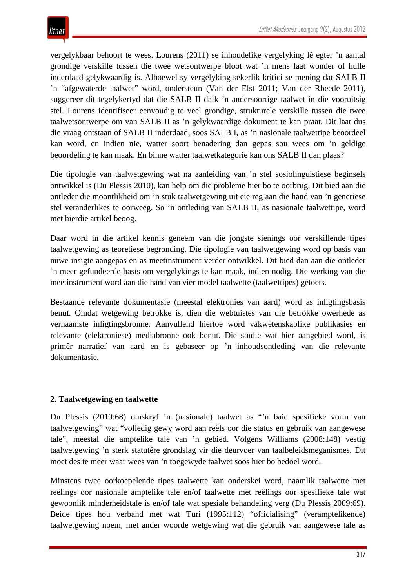vergelykbaar behoort te wees. Lourens (2011) se inhoudelike vergelyking lê egter 'n aantal grondige verskille tussen die twee wetsontwerpe bloot wat 'n mens laat wonder of hulle inderdaad gelykwaardig is. Alhoewel sy vergelyking sekerlik kritici se mening dat SALB II 'n "afgewaterde taalwet" word, ondersteun (Van der Elst 2011; Van der Rheede 2011), suggereer dit tegelykertyd dat die SALB II dalk 'n andersoortige taalwet in die vooruitsig stel. Lourens identifiseer eenvoudig te veel grondige, strukturele verskille tussen die twee taalwetsontwerpe om van SALB II as 'n gelykwaardige dokument te kan praat. Dit laat dus die vraag ontstaan of SALB II inderdaad, soos SALB I, as 'n nasionale taalwettipe beoordeel kan word, en indien nie, watter soort benadering dan gepas sou wees om 'n geldige beoordeling te kan maak. En binne watter taalwetkategorie kan ons SALB II dan plaas?

Die tipologie van taalwetgewing wat na aanleiding van 'n stel sosiolinguistiese beginsels ontwikkel is (Du Plessis 2010), kan help om die probleme hier bo te oorbrug. Dit bied aan die ontleder die moontlikheid om 'n stuk taalwetgewing uit eie reg aan die hand van 'n generiese stel veranderlikes te oorweeg. So 'n ontleding van SALB II, as nasionale taalwettipe, word met hierdie artikel beoog.

Daar word in die artikel kennis geneem van die jongste sienings oor verskillende tipes taalwetgewing as teoretiese begronding. Die tipologie van taalwetgewing word op basis van nuwe insigte aangepas en as meetinstrument verder ontwikkel. Dit bied dan aan die ontleder 'n meer gefundeerde basis om vergelykings te kan maak, indien nodig. Die werking van die meetinstrument word aan die hand van vier model taalwette (taalwettipes) getoets.

Bestaande relevante dokumentasie (meestal elektronies van aard) word as inligtingsbasis benut. Omdat wetgewing betrokke is, dien die webtuistes van die betrokke owerhede as vernaamste inligtingsbronne. Aanvullend hiertoe word vakwetenskaplike publikasies en relevante (elektroniese) mediabronne ook benut. Die studie wat hier aangebied word, is primêr narratief van aard en is gebaseer op 'n inhoudsontleding van die relevante dokumentasie.

#### **2. Taalwetgewing en taalwette**

Du Plessis (2010:68) omskryf 'n (nasionale) taalwet as "'n baie spesifieke vorm van taalwetgewing" wat "volledig gewy word aan reëls oor die status en gebruik van aangewese tale", meestal die amptelike tale van 'n gebied. Volgens Williams (2008:148) vestig taalwetgewing 'n sterk statutêre grondslag vir die deurvoer van taalbeleidsmeganismes. Dit moet des te meer waar wees van 'n toegewyde taalwet soos hier bo bedoel word.

Minstens twee oorkoepelende tipes taalwette kan onderskei word, naamlik taalwette met reëlings oor nasionale amptelike tale en/of taalwette met reëlings oor spesifieke tale wat gewoonlik minderheidstale is en/of tale wat spesiale behandeling verg (Du Plessis 2009:69). Beide tipes hou verband met wat Turi (1995:112) "officialising" (veramptelikende) taalwetgewing noem, met ander woorde wetgewing wat die gebruik van aangewese tale as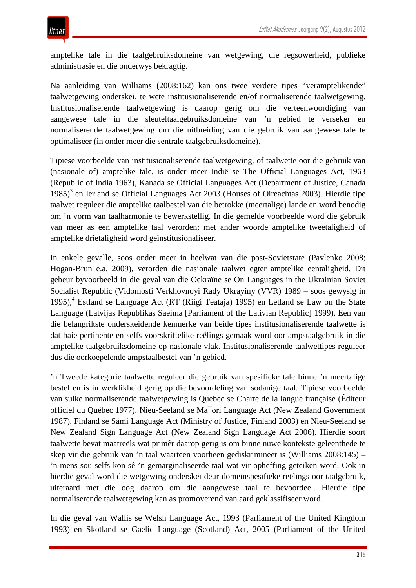amptelike tale in die taalgebruiksdomeine van wetgewing, die regsowerheid, publieke administrasie en die onderwys bekragtig.

Na aanleiding van Williams (2008:162) kan ons twee verdere tipes "veramptelikende" taalwetgewing onderskei, te wete institusionaliserende en/of normaliserende taalwetgewing. Institusionaliserende taalwetgewing is daarop gerig om die verteenwoordiging van aangewese tale in die sleuteltaalgebruiksdomeine van 'n gebied te verseker en normaliserende taalwetgewing om die uitbreiding van die gebruik van aangewese tale te optimaliseer (in onder meer die sentrale taalgebruiksdomeine).

Tipiese voorbeelde van institusionaliserende taalwetgewing, of taalwette oor die gebruik van (nasionale of) amptelike tale, is onder meer Indië se The Official Languages Act, 1963 (Republic of India 1963), Kanada se Official Languages Act (Department of Justice, Canada  $1985$ <sup>3</sup> en Ierland se Official Languages Act 2003 (Houses of Oireachtas 2003). Hierdie tipe taalwet reguleer die amptelike taalbestel van die betrokke (meertalige) lande en word benodig om 'n vorm van taalharmonie te bewerkstellig. In die gemelde voorbeelde word die gebruik van meer as een amptelike taal verorden; met ander woorde amptelike tweetaligheid of amptelike drietaligheid word geïnstitusionaliseer.

In enkele gevalle, soos onder meer in heelwat van die post-Sovietstate (Pavlenko 2008; Hogan-Brun e.a. 2009), verorden die nasionale taalwet egter amptelike eentaligheid. Dit gebeur byvoorbeeld in die geval van die Oekraïne se On Languages in the Ukrainian Soviet Socialist Republic (Vidomosti Verkhovnoyi Rady Ukrayiny (VVR) 1989 – soos gewysig in 1995),<sup>4</sup> Estland se Language Act (RT (Riigi Teataja) 1995) en Letland se Law on the State Language (Latvijas Republikas Saeima [Parliament of the Lativian Republic] 1999). Een van die belangrikste onderskeidende kenmerke van beide tipes institusionaliserende taalwette is dat baie pertinente en selfs voorskriftelike reëlings gemaak word oor ampstaalgebruik in die amptelike taalgebruiksdomeine op nasionale vlak. Institusionaliserende taalwettipes reguleer dus die oorkoepelende ampstaalbestel van 'n gebied.

'n Tweede kategorie taalwette reguleer die gebruik van spesifieke tale binne 'n meertalige bestel en is in werklikheid gerig op die bevoordeling van sodanige taal. Tipiese voorbeelde van sulke normaliserende taalwetgewing is Quebec se Charte de la langue française (Éditeur officiel du Québec 1977), Nieu-Seeland se Ma¯ori Language Act (New Zealand Government 1987), Finland se Sámi Language Act (Ministry of Justice, Finland 2003) en Nieu-Seeland se New Zealand Sign Language Act (New Zealand Sign Language Act 2006). Hierdie soort taalwette bevat maatreëls wat primêr daarop gerig is om binne nuwe kontekste geleenthede te skep vir die gebruik van 'n taal waarteen voorheen gediskrimineer is (Williams 2008:145) – 'n mens sou selfs kon sê 'n gemarginaliseerde taal wat vir opheffing geteiken word. Ook in hierdie geval word die wetgewing onderskei deur domeinspesifieke reëlings oor taalgebruik, uiteraard met die oog daarop om die aangewese taal te bevoordeel. Hierdie tipe normaliserende taalwetgewing kan as promoverend van aard geklassifiseer word.

In die geval van Wallis se Welsh Language Act, 1993 (Parliament of the United Kingdom 1993) en Skotland se Gaelic Language (Scotland) Act, 2005 (Parliament of the United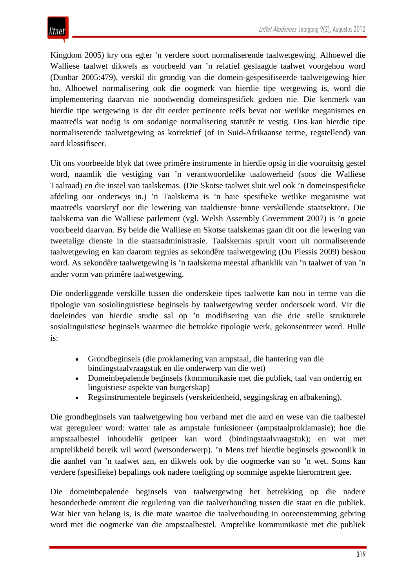Kingdom 2005) kry ons egter 'n verdere soort normaliserende taalwetgewing. Alhoewel die Walliese taalwet dikwels as voorbeeld van 'n relatief geslaagde taalwet voorgehou word (Dunbar 2005:479), verskil dit grondig van die domein-gespesifiseerde taalwetgewing hier bo. Alhoewel normalisering ook die oogmerk van hierdie tipe wetgewing is, word die implementering daarvan nie noodwendig domeinspesifiek gedoen nie. Die kenmerk van hierdie tipe wetgewing is dat dit eerder pertinente reëls bevat oor wetlike meganismes en maatreëls wat nodig is om sodanige normalisering statutêr te vestig. Ons kan hierdie tipe normaliserende taalwetgewing as korrektief (of in Suid-Afrikaanse terme, regstellend) van aard klassifiseer.

Uit ons voorbeelde blyk dat twee primêre instrumente in hierdie opsig in die vooruitsig gestel word, naamlik die vestiging van 'n verantwoordelike taalowerheid (soos die Walliese Taalraad) en die instel van taalskemas. (Die Skotse taalwet sluit wel ook 'n domeinspesifieke afdeling oor onderwys in.) 'n Taalskema is 'n baie spesifieke wetlike meganisme wat maatreëls voorskryf oor die lewering van taaldienste binne verskillende staatsektore. Die taalskema van die Walliese parlement (vgl. Welsh Assembly Government 2007) is 'n goeie voorbeeld daarvan. By beide die Walliese en Skotse taalskemas gaan dit oor die lewering van tweetalige dienste in die staatsadministrasie. Taalskemas spruit voort uit normaliserende taalwetgewing en kan daarom tegnies as sekondêre taalwetgewing (Du Plessis 2009) beskou word. As sekondêre taalwetgewing is 'n taalskema meestal afhanklik van 'n taalwet of van 'n ander vorm van primêre taalwetgewing.

Die onderliggende verskille tussen die onderskeie tipes taalwette kan nou in terme van die tipologie van sosiolinguistiese beginsels by taalwetgewing verder ondersoek word. Vir die doeleindes van hierdie studie sal op 'n modifisering van die drie stelle strukturele sosiolinguistiese beginsels waarmee die betrokke tipologie werk, gekonsentreer word. Hulle is:

- Grondbeginsels (die proklamering van ampstaal, die hantering van die bindingstaalvraagstuk en die onderwerp van die wet)
- Domeinbepalende beginsels (kommunikasie met die publiek, taal van onderrig en linguistiese aspekte van burgerskap)
- Regsinstrumentele beginsels (verskeidenheid, seggingskrag en afbakening).

Die grondbeginsels van taalwetgewing hou verband met die aard en wese van die taalbestel wat gereguleer word: watter tale as ampstale funksioneer (ampstaalproklamasie); hoe die ampstaalbestel inhoudelik getipeer kan word (bindingstaalvraagstuk); en wat met amptelikheid bereik wil word (wetsonderwerp). 'n Mens tref hierdie beginsels gewoonlik in die aanhef van 'n taalwet aan, en dikwels ook by die oogmerke van so 'n wet. Soms kan verdere (spesifieke) bepalings ook nadere toeligting op sommige aspekte hieromtrent gee.

Die domeinbepalende beginsels van taalwetgewing het betrekking op die nadere besonderhede omtrent die regulering van die taalverhouding tussen die staat en die publiek. Wat hier van belang is, is die mate waartoe die taalverhouding in ooreenstemming gebring word met die oogmerke van die ampstaalbestel. Amptelike kommunikasie met die publiek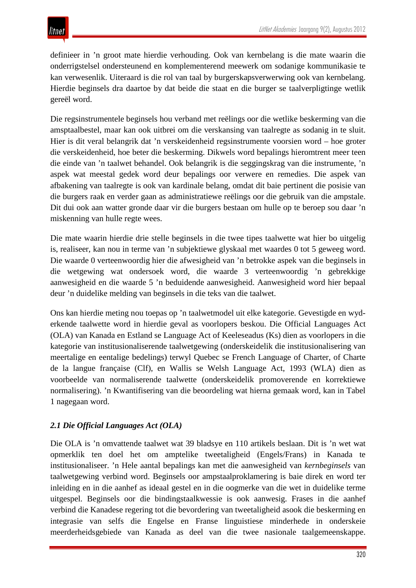definieer in 'n groot mate hierdie verhouding. Ook van kernbelang is die mate waarin die onderrigstelsel ondersteunend en komplementerend meewerk om sodanige kommunikasie te kan verwesenlik. Uiteraard is die rol van taal by burgerskapsverwerwing ook van kernbelang. Hierdie beginsels dra daartoe by dat beide die staat en die burger se taalverpligtinge wetlik gereël word.

Die regsinstrumentele beginsels hou verband met reëlings oor die wetlike beskerming van die amsptaalbestel, maar kan ook uitbrei om die verskansing van taalregte as sodanig in te sluit. Hier is dit veral belangrik dat 'n verskeidenheid regsinstrumente voorsien word – hoe groter die verskeidenheid, hoe beter die beskerming. Dikwels word bepalings hieromtrent meer teen die einde van 'n taalwet behandel. Ook belangrik is die seggingskrag van die instrumente, 'n aspek wat meestal gedek word deur bepalings oor verwere en remedies. Die aspek van afbakening van taalregte is ook van kardinale belang, omdat dit baie pertinent die posisie van die burgers raak en verder gaan as administratiewe reëlings oor die gebruik van die ampstale. Dit dui ook aan watter gronde daar vir die burgers bestaan om hulle op te beroep sou daar 'n miskenning van hulle regte wees.

Die mate waarin hierdie drie stelle beginsels in die twee tipes taalwette wat hier bo uitgelig is, realiseer, kan nou in terme van 'n subjektiewe glyskaal met waardes 0 tot 5 geweeg word. Die waarde 0 verteenwoordig hier die afwesigheid van 'n betrokke aspek van die beginsels in die wetgewing wat ondersoek word, die waarde 3 verteenwoordig 'n gebrekkige aanwesigheid en die waarde 5 'n beduidende aanwesigheid. Aanwesigheid word hier bepaal deur 'n duidelike melding van beginsels in die teks van die taalwet.

Ons kan hierdie meting nou toepas op 'n taalwetmodel uit elke kategorie. Gevestigde en wyderkende taalwette word in hierdie geval as voorlopers beskou. Die Official Languages Act (OLA) van Kanada en Estland se Language Act of Keeleseadus (Ks) dien as voorlopers in die kategorie van institusionaliserende taalwetgewing (onderskeidelik die institusionalisering van meertalige en eentalige bedelings) terwyl Quebec se French Language of Charter, of Charte de la langue française (Clf), en Wallis se Welsh Language Act, 1993 (WLA) dien as voorbeelde van normaliserende taalwette (onderskeidelik promoverende en korrektiewe normalisering). 'n Kwantifisering van die beoordeling wat hierna gemaak word, kan in Tabel 1 nagegaan word.

#### *2.1 Die Official Languages Act (OLA)*

Die OLA is 'n omvattende taalwet wat 39 bladsye en 110 artikels beslaan. Dit is 'n wet wat opmerklik ten doel het om amptelike tweetaligheid (Engels/Frans) in Kanada te institusionaliseer. 'n Hele aantal bepalings kan met die aanwesigheid van *kernbeginsels* van taalwetgewing verbind word. Beginsels oor ampstaalproklamering is baie direk en word ter inleiding en in die aanhef as ideaal gestel en in die oogmerke van die wet in duidelike terme uitgespel. Beginsels oor die bindingstaalkwessie is ook aanwesig. Frases in die aanhef verbind die Kanadese regering tot die bevordering van tweetaligheid asook die beskerming en integrasie van selfs die Engelse en Franse linguistiese minderhede in onderskeie meerderheidsgebiede van Kanada as deel van die twee nasionale taalgemeenskappe.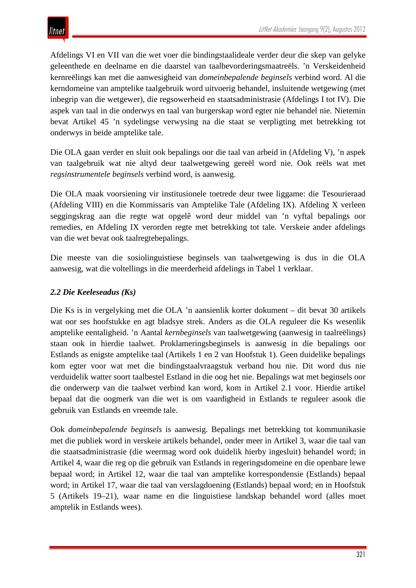Afdelings VI en VII van die wet voer die bindingstaalideale verder deur die skep van gelyke geleenthede en deelname en die daarstel van taalbevorderingsmaatreëls. 'n Verskeidenheid kernreëlings kan met die aanwesigheid van *domeinbepalende beginsels* verbind word. Al die kerndomeine van amptelike taalgebruik word uitvoerig behandel, insluitende wetgewing (met inbegrip van die wetgewer), die regsowerheid en staatsadministrasie (Afdelings I tot IV). Die aspek van taal in die onderwys en taal van burgerskap word egter nie behandel nie. Nietemin bevat Artikel 45 'n sydelingse verwysing na die staat se verpligting met betrekking tot onderwys in beide amptelike tale.

Die OLA gaan verder en sluit ook bepalings oor die taal van arbeid in (Afdeling V), 'n aspek van taalgebruik wat nie altyd deur taalwetgewing gereël word nie. Ook reëls wat met *regsinstrumentele beginsels* verbind word, is aanwesig.

Die OLA maak voorsiening vir institusionele toetrede deur twee liggame: die Tesourieraad (Afdeling VIII) en die Kommissaris van Amptelike Tale (Afdeling IX). Afdeling X verleen seggingskrag aan die regte wat opgelê word deur middel van 'n vyftal bepalings oor remedies, en Afdeling IX verorden regte met betrekking tot tale. Verskeie ander afdelings van die wet bevat ook taalregtebepalings.

Die meeste van die sosiolinguistiese beginsels van taalwetgewing is dus in die OLA aanwesig, wat die voltellings in die meerderheid afdelings in Tabel 1 verklaar.

## *2.2 Die Keeleseadus (Ks)*

Die Ks is in vergelyking met die OLA 'n aansienlik korter dokument – dit bevat 30 artikels wat oor ses hoofstukke en agt bladsye strek. Anders as die OLA reguleer die Ks wesenlik amptelike eentaligheid. 'n Aantal *kernbeginsels* van taalwetgewing (aanwesig in taalreëlings) staan ook in hierdie taalwet. Proklameringsbeginsels is aanwesig in die bepalings oor Estlands as enigste amptelike taal (Artikels 1 en 2 van Hoofstuk 1). Geen duidelike bepalings kom egter voor wat met die bindingstaalvraagstuk verband hou nie. Dit word dus nie verduidelik watter soort taalbestel Estland in die oog het nie. Bepalings wat met beginsels oor die onderwerp van die taalwet verbind kan word, kom in Artikel 2.1 voor. Hierdie artikel bepaal dat die oogmerk van die wet is om vaardigheid in Estlands te reguleer asook die gebruik van Estlands en vreemde tale.

Ook *domeinbepalende beginsels* is aanwesig. Bepalings met betrekking tot kommunikasie met die publiek word in verskeie artikels behandel, onder meer in Artikel 3, waar die taal van die staatsadministrasie (die weermag word ook duidelik hierby ingesluit) behandel word; in Artikel 4, waar die reg op die gebruik van Estlands in regeringsdomeine en die openbare lewe bepaal word; in Artikel 12, waar die taal van amptelike korrespondensie (Estlands) bepaal word; in Artikel 17, waar die taal van verslagdoening (Estlands) bepaal word; en in Hoofstuk 5 (Artikels 19–21), waar name en die linguistiese landskap behandel word (alles moet amptelik in Estlands wees).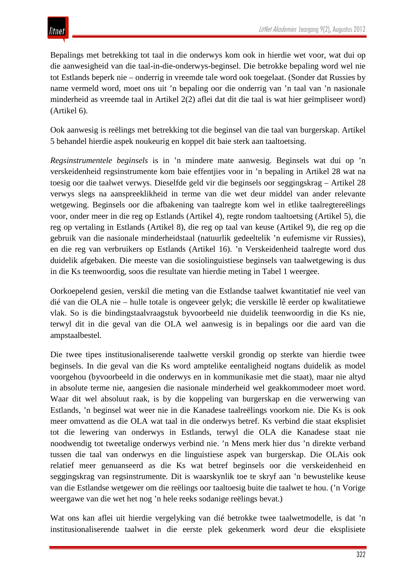Bepalings met betrekking tot taal in die onderwys kom ook in hierdie wet voor, wat dui op die aanwesigheid van die taal-in-die-onderwys-beginsel. Die betrokke bepaling word wel nie tot Estlands beperk nie – onderrig in vreemde tale word ook toegelaat. (Sonder dat Russies by name vermeld word, moet ons uit 'n bepaling oor die onderrig van 'n taal van 'n nasionale minderheid as vreemde taal in Artikel 2(2) aflei dat dit die taal is wat hier geïmpliseer word) (Artikel 6).

Ook aanwesig is reëlings met betrekking tot die beginsel van die taal van burgerskap. Artikel 5 behandel hierdie aspek noukeurig en koppel dit baie sterk aan taaltoetsing.

*Regsinstrumentele beginsels* is in 'n mindere mate aanwesig. Beginsels wat dui op 'n verskeidenheid regsinstrumente kom baie effentjies voor in 'n bepaling in Artikel 28 wat na toesig oor die taalwet verwys. Dieselfde geld vir die beginsels oor seggingskrag – Artikel 28 verwys slegs na aanspreeklikheid in terme van die wet deur middel van ander relevante wetgewing. Beginsels oor die afbakening van taalregte kom wel in etlike taalregtereëlings voor, onder meer in die reg op Estlands (Artikel 4), regte rondom taaltoetsing (Artikel 5), die reg op vertaling in Estlands (Artikel 8), die reg op taal van keuse (Artikel 9), die reg op die gebruik van die nasionale minderheidstaal (natuurlik gedeeltelik 'n eufemisme vir Russies), en die reg van verbruikers op Estlands (Artikel 16). 'n Verskeidenheid taalregte word dus duidelik afgebaken. Die meeste van die sosiolinguistiese beginsels van taalwetgewing is dus in die Ks teenwoordig, soos die resultate van hierdie meting in Tabel 1 weergee.

Oorkoepelend gesien, verskil die meting van die Estlandse taalwet kwantitatief nie veel van dié van die OLA nie – hulle totale is ongeveer gelyk; die verskille lê eerder op kwalitatiewe vlak. So is die bindingstaalvraagstuk byvoorbeeld nie duidelik teenwoordig in die Ks nie, terwyl dit in die geval van die OLA wel aanwesig is in bepalings oor die aard van die ampstaalbestel.

Die twee tipes institusionaliserende taalwette verskil grondig op sterkte van hierdie twee beginsels. In die geval van die Ks word amptelike eentaligheid nogtans duidelik as model voorgehou (byvoorbeeld in die onderwys en in kommunikasie met die staat), maar nie altyd in absolute terme nie, aangesien die nasionale minderheid wel geakkommodeer moet word. Waar dit wel absoluut raak, is by die koppeling van burgerskap en die verwerwing van Estlands, 'n beginsel wat weer nie in die Kanadese taalreëlings voorkom nie. Die Ks is ook meer omvattend as die OLA wat taal in die onderwys betref. Ks verbind die staat eksplisiet tot die lewering van onderwys in Estlands, terwyl die OLA die Kanadese staat nie noodwendig tot tweetalige onderwys verbind nie. 'n Mens merk hier dus 'n direkte verband tussen die taal van onderwys en die linguistiese aspek van burgerskap. Die OLAis ook relatief meer genuanseerd as die Ks wat betref beginsels oor die verskeidenheid en seggingskrag van regsinstrumente*.* Dit is waarskynlik toe te skryf aan 'n bewustelike keuse van die Estlandse wetgewer om die reëlings oor taaltoesig buite die taalwet te hou. ('n Vorige weergawe van die wet het nog 'n hele reeks sodanige reëlings bevat.)

Wat ons kan aflei uit hierdie vergelyking van dié betrokke twee taalwetmodelle, is dat 'n institusionaliserende taalwet in die eerste plek gekenmerk word deur die eksplisiete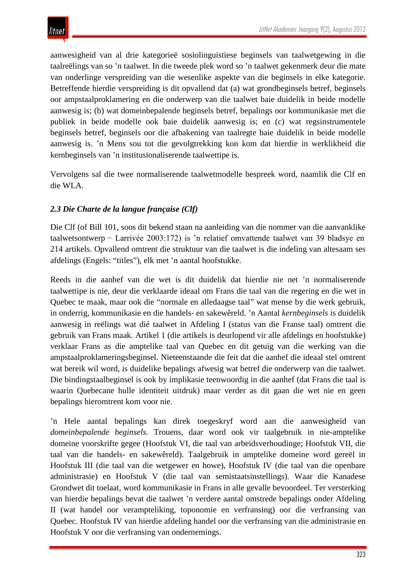aanwesigheid van al drie kategorieë sosiolinguistiese beginsels van taalwetgewing in die taalreëlings van so 'n taalwet. In die tweede plek word so 'n taalwet gekenmerk deur die mate van onderlinge verspreiding van die wesenlike aspekte van die beginsels in elke kategorie. Betreffende hierdie verspreiding is dit opvallend dat (a) wat grondbeginsels betref, beginsels oor ampstaalproklamering en die onderwerp van die taalwet baie duidelik in beide modelle aanwesig is; (b) wat domeinbepalende beginsels betref, bepalings oor kommunikasie met die publiek in beide modelle ook baie duidelik aanwesig is; en (c) wat regsinstrumentele beginsels betref, beginsels oor die afbakening van taalregte baie duidelik in beide modelle aanwesig is. 'n Mens sou tot die gevolgtrekking kon kom dat hierdie in werklikheid die kernbeginsels van 'n institusionaliserende taalwettipe is.

Vervolgens sal die twee normaliserende taalwetmodelle bespreek word, naamlik die Clf en die WLA.

## *2.3 Die Charte de la langue française (Clf)*

Die Clf (of Bill 101, soos dit bekend staan na aanleiding van die nommer van die aanvanklike taalwetsontwerp − Larrivée 2003:172) is 'n relatief omvattende taalwet van 39 bladsye en 214 artikels. Opvallend omtrent die struktuur van die taalwet is die indeling van altesaam ses afdelings (Engels: "titles"), elk met 'n aantal hoofstukke.

Reeds in die aanhef van die wet is dit duidelik dat hierdie nie net 'n normaliserende taalwettipe is nie, deur die verklaarde ideaal om Frans die taal van die regering en die wet in Quebec te maak, maar ook die "normale en alledaagse taal" wat mense by die werk gebruik, in onderrig, kommunikasie en die handels- en sakewêreld. 'n Aantal *kernbeginsels* is duidelik aanwesig in reëlings wat dié taalwet in Afdeling I (status van die Franse taal) omtrent die gebruik van Frans maak. Artikel 1 (die artikels is deurlopend vir alle afdelings en hoofstukke) verklaar Frans as die amptelike taal van Quebec en dit getuig van die werking van die ampstaalproklameringsbeginsel. Nieteenstaande die feit dat die aanhef die ideaal stel omtrent wat bereik wil word, is duidelike bepalings afwesig wat betref die onderwerp van die taalwet. Die bindingstaalbeginsel is ook by implikasie teenwoordig in die aanhef (dat Frans die taal is waarin Quebecane hulle identiteit uitdruk) maar verder as dit gaan die wet nie en geen bepalings hieromtrent kom voor nie.

'n Hele aantal bepalings kan direk toegeskryf word aan die aanwesigheid van *domeinbepalende beginsels.* Trouens, daar word ook vir taalgebruik in nie-amptelike domeine voorskrifte gegee (Hoofstuk VI, die taal van arbeidsverhoudinge; Hoofstuk VII, die taal van die handels- en sakewêreld). Taalgebruik in amptelike domeine word gereël in Hoofstuk III (die taal van die wetgewer en howe), Hoofstuk IV (die taal van die openbare administrasie) en Hoofstuk V (die taal van semistaatsinstellings). Waar die Kanadese Grondwet dit toelaat, word kommunikasie in Frans in alle gevalle bevoordeel. Ter versterking van hierdie bepalings bevat die taalwet 'n verdere aantal omstrede bepalings onder Afdeling II (wat handel oor verampteliking, toponomie en verfransing) oor die verfransing van Quebec. Hoofstuk IV van hierdie afdeling handel oor die verfransing van die administrasie en Hoofstuk V oor die verfransing van ondernemings.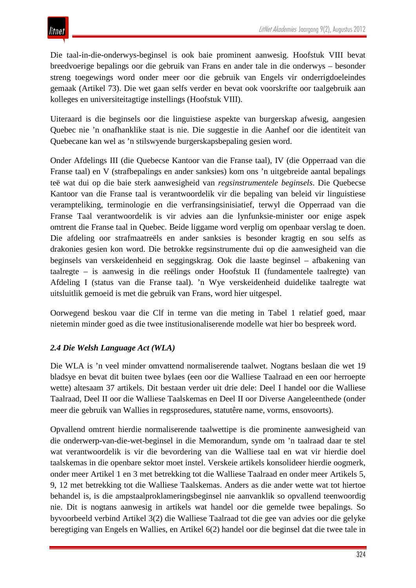Die taal-in-die-onderwys-beginsel is ook baie prominent aanwesig. Hoofstuk VIII bevat breedvoerige bepalings oor die gebruik van Frans en ander tale in die onderwys – besonder streng toegewings word onder meer oor die gebruik van Engels vir onderrigdoeleindes gemaak (Artikel 73). Die wet gaan selfs verder en bevat ook voorskrifte oor taalgebruik aan kolleges en universiteitagtige instellings (Hoofstuk VIII).

Uiteraard is die beginsels oor die linguistiese aspekte van burgerskap afwesig, aangesien Quebec nie 'n onafhanklike staat is nie. Die suggestie in die Aanhef oor die identiteit van Quebecane kan wel as 'n stilswyende burgerskapsbepaling gesien word.

Onder Afdelings III (die Quebecse Kantoor van die Franse taal), IV (die Opperraad van die Franse taal) en V (strafbepalings en ander sanksies) kom ons 'n uitgebreide aantal bepalings teë wat dui op die baie sterk aanwesigheid van *regsinstrumentele beginsels*. Die Quebecse Kantoor van die Franse taal is verantwoordelik vir die bepaling van beleid vir linguistiese verampteliking, terminologie en die verfransingsinisiatief, terwyl die Opperraad van die Franse Taal verantwoordelik is vir advies aan die lynfunksie-minister oor enige aspek omtrent die Franse taal in Quebec. Beide liggame word verplig om openbaar verslag te doen. Die afdeling oor strafmaatreëls en ander sanksies is besonder kragtig en sou selfs as drakonies gesien kon word. Die betrokke regsinstrumente dui op die aanwesigheid van die beginsels van verskeidenheid en seggingskrag. Ook die laaste beginsel – afbakening van taalregte – is aanwesig in die reëlings onder Hoofstuk II (fundamentele taalregte) van Afdeling I (status van die Franse taal). 'n Wye verskeidenheid duidelike taalregte wat uitsluitlik gemoeid is met die gebruik van Frans, word hier uitgespel.

Oorwegend beskou vaar die Clf in terme van die meting in Tabel 1 relatief goed, maar nietemin minder goed as die twee institusionaliserende modelle wat hier bo bespreek word.

## *2.4 Die Welsh Language Act (WLA)*

Die WLA is 'n veel minder omvattend normaliserende taalwet. Nogtans beslaan die wet 19 bladsye en bevat dit buiten twee bylaes (een oor die Walliese Taalraad en een oor herroepte wette) altesaam 37 artikels. Dit bestaan verder uit drie dele: Deel I handel oor die Walliese Taalraad, Deel II oor die Walliese Taalskemas en Deel II oor Diverse Aangeleenthede (onder meer die gebruik van Wallies in regsprosedures, statutêre name, vorms, ensovoorts).

Opvallend omtrent hierdie normaliserende taalwettipe is die prominente aanwesigheid van die onderwerp-van-die-wet-beginsel in die Memorandum, synde om 'n taalraad daar te stel wat verantwoordelik is vir die bevordering van die Walliese taal en wat vir hierdie doel taalskemas in die openbare sektor moet instel. Verskeie artikels konsolideer hierdie oogmerk, onder meer Artikel 1 en 3 met betrekking tot die Walliese Taalraad en onder meer Artikels 5, 9, 12 met betrekking tot die Walliese Taalskemas. Anders as die ander wette wat tot hiertoe behandel is, is die ampstaalproklameringsbeginsel nie aanvanklik so opvallend teenwoordig nie. Dit is nogtans aanwesig in artikels wat handel oor die gemelde twee bepalings. So byvoorbeeld verbind Artikel 3(2) die Walliese Taalraad tot die gee van advies oor die gelyke beregtiging van Engels en Wallies, en Artikel 6(2) handel oor die beginsel dat die twee tale in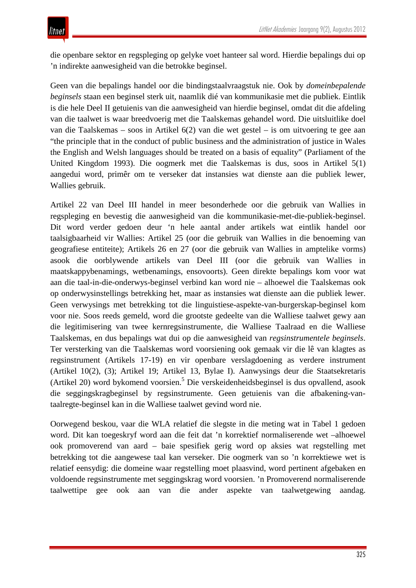die openbare sektor en regspleging op gelyke voet hanteer sal word. Hierdie bepalings dui op 'n indirekte aanwesigheid van die betrokke beginsel.

Geen van die bepalings handel oor die bindingstaalvraagstuk nie. Ook by *domeinbepalende beginsels* staan een beginsel sterk uit, naamlik dié van kommunikasie met die publiek. Eintlik is die hele Deel II getuienis van die aanwesigheid van hierdie beginsel, omdat dit die afdeling van die taalwet is waar breedvoerig met die Taalskemas gehandel word. Die uitsluitlike doel van die Taalskemas – soos in Artikel 6(2) van die wet gestel – is om uitvoering te gee aan "the principle that in the conduct of public business and the administration of justice in Wales the English and Welsh languages should be treated on a basis of equality" (Parliament of the United Kingdom 1993). Die oogmerk met die Taalskemas is dus, soos in Artikel 5(1) aangedui word, primêr om te verseker dat instansies wat dienste aan die publiek lewer, Wallies gebruik.

Artikel 22 van Deel III handel in meer besonderhede oor die gebruik van Wallies in regspleging en bevestig die aanwesigheid van die kommunikasie-met-die-publiek-beginsel. Dit word verder gedoen deur 'n hele aantal ander artikels wat eintlik handel oor taalsigbaarheid vir Wallies: Artikel 25 (oor die gebruik van Wallies in die benoeming van geografiese entiteite); Artikels 26 en 27 (oor die gebruik van Wallies in amptelike vorms) asook die oorblywende artikels van Deel III (oor die gebruik van Wallies in maatskappybenamings, wetbenamings, ensovoorts). Geen direkte bepalings kom voor wat aan die taal-in-die-onderwys-beginsel verbind kan word nie – alhoewel die Taalskemas ook op onderwysinstellings betrekking het, maar as instansies wat dienste aan die publiek lewer. Geen verwysings met betrekking tot die linguistiese-aspekte-van-burgerskap-beginsel kom voor nie. Soos reeds gemeld, word die grootste gedeelte van die Walliese taalwet gewy aan die legitimisering van twee kernregsinstrumente, die Walliese Taalraad en die Walliese Taalskemas, en dus bepalings wat dui op die aanwesigheid van *regsinstrumentele beginsels*. Ter versterking van die Taalskemas word voorsiening ook gemaak vir die lê van klagtes as regsinstrument (Artikels 17-19) en vir openbare verslagdoening as verdere instrument (Artikel 10(2), (3); Artikel 19; Artikel 13, Bylae I). Aanwysings deur die Staatsekretaris (Artikel 20) word bykomend voorsien. <sup>5</sup> Die verskeidenheidsbeginsel is dus opvallend, asook die seggingskragbeginsel by regsinstrumente. Geen getuienis van die afbakening-vantaalregte-beginsel kan in die Walliese taalwet gevind word nie.

Oorwegend beskou, vaar die WLA relatief die slegste in die meting wat in Tabel 1 gedoen word. Dit kan toegeskryf word aan die feit dat 'n korrektief normaliserende wet –alhoewel ook promoverend van aard – baie spesifiek gerig word op aksies wat regstelling met betrekking tot die aangewese taal kan verseker. Die oogmerk van so 'n korrektiewe wet is relatief eensydig: die domeine waar regstelling moet plaasvind, word pertinent afgebaken en voldoende regsinstrumente met seggingskrag word voorsien. 'n Promoverend normaliserende taalwettipe gee ook aan van die ander aspekte van taalwetgewing aandag.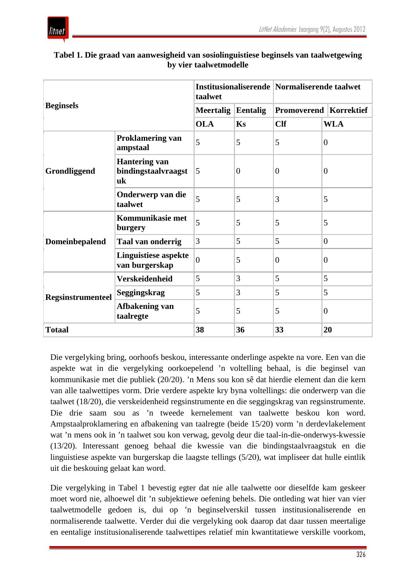

| <b>Beginsels</b>         |                                                   | taalwet        |                | Institusionaliserende Normaliserende taalwet |                                 |
|--------------------------|---------------------------------------------------|----------------|----------------|----------------------------------------------|---------------------------------|
|                          |                                                   | Meertalig      | Eentalig       |                                              | <b>Promoverend   Korrektief</b> |
|                          |                                                   | <b>OLA</b>     | Ks             | <b>Clf</b>                                   | <b>WLA</b>                      |
| Grondliggend             | <b>Proklamering van</b><br>ampstaal               | 5              | 5              | 5                                            | $\overline{0}$                  |
|                          | <b>Hantering van</b><br>bindingstaalvraagst<br>uk | 5              | $\overline{0}$ | $\overline{0}$                               | $\boldsymbol{0}$                |
|                          | Onderwerp van die<br>taalwet                      | 5              | 5              | 3                                            | 5                               |
|                          | Kommunikasie met<br>burgery                       | 5              | 5              | 5                                            | 5                               |
| <b>Domeinbepalend</b>    | <b>Taal van onderrig</b>                          | 3              | 5              | 5                                            | $\overline{0}$                  |
|                          | <b>Linguistiese aspekte</b><br>van burgerskap     | $\overline{0}$ | 5              | $\overline{0}$                               | $\overline{0}$                  |
|                          | Verskeidenheid                                    | 5              | 3              | 5                                            | 5                               |
| <b>Regsinstrumenteel</b> | Seggingskrag                                      | 5              | 3              | 5                                            | 5                               |
|                          | Afbakening van<br>taalregte                       | 5              | 5              | 5                                            | $\overline{0}$                  |
| <b>Totaal</b>            |                                                   | 38             | 36             | 33                                           | 20                              |

#### **Tabel 1. Die graad van aanwesigheid van sosiolinguistiese beginsels van taalwetgewing by vier taalwetmodelle**

Die vergelyking bring, oorhoofs beskou, interessante onderlinge aspekte na vore. Een van die aspekte wat in die vergelyking oorkoepelend 'n voltelling behaal, is die beginsel van kommunikasie met die publiek (20/20). 'n Mens sou kon sê dat hierdie element dan die kern van alle taalwettipes vorm. Drie verdere aspekte kry byna voltellings: die onderwerp van die taalwet (18/20), die verskeidenheid regsinstrumente en die seggingskrag van regsinstrumente. Die drie saam sou as 'n tweede kernelement van taalwette beskou kon word. Ampstaalproklamering en afbakening van taalregte (beide 15/20) vorm 'n derdevlakelement wat 'n mens ook in 'n taalwet sou kon verwag, gevolg deur die taal-in-die-onderwys-kwessie (13/20). Interessant genoeg behaal die kwessie van die bindingstaalvraagstuk en die linguistiese aspekte van burgerskap die laagste tellings (5/20), wat impliseer dat hulle eintlik uit die beskouing gelaat kan word.

Die vergelyking in Tabel 1 bevestig egter dat nie alle taalwette oor dieselfde kam geskeer moet word nie, alhoewel dit 'n subjektiewe oefening behels. Die ontleding wat hier van vier taalwetmodelle gedoen is, dui op 'n beginselverskil tussen institusionaliserende en normaliserende taalwette. Verder dui die vergelyking ook daarop dat daar tussen meertalige en eentalige institusionaliserende taalwettipes relatief min kwantitatiewe verskille voorkom,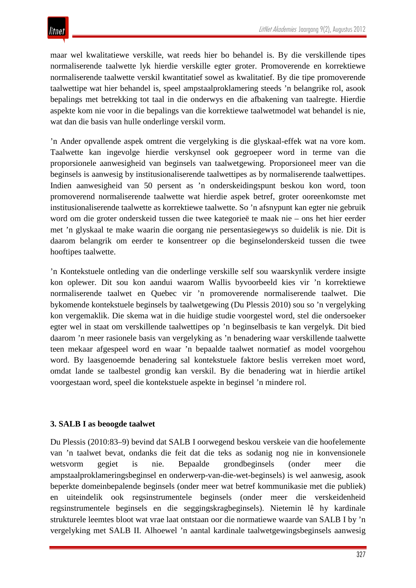maar wel kwalitatiewe verskille, wat reeds hier bo behandel is. By die verskillende tipes normaliserende taalwette lyk hierdie verskille egter groter. Promoverende en korrektiewe normaliserende taalwette verskil kwantitatief sowel as kwalitatief. By die tipe promoverende taalwettipe wat hier behandel is, speel ampstaalproklamering steeds 'n belangrike rol, asook bepalings met betrekking tot taal in die onderwys en die afbakening van taalregte. Hierdie aspekte kom nie voor in die bepalings van die korrektiewe taalwetmodel wat behandel is nie, wat dan die basis van hulle onderlinge verskil vorm.

'n Ander opvallende aspek omtrent die vergelyking is die glyskaal-effek wat na vore kom. Taalwette kan ingevolge hierdie verskynsel ook gegroepeer word in terme van die proporsionele aanwesigheid van beginsels van taalwetgewing. Proporsioneel meer van die beginsels is aanwesig by institusionaliserende taalwettipes as by normaliserende taalwettipes. Indien aanwesigheid van 50 persent as 'n onderskeidingspunt beskou kon word, toon promoverend normaliserende taalwette wat hierdie aspek betref, groter ooreenkomste met institusionaliserende taalwette as korrektiewe taalwette. So 'n afsnypunt kan egter nie gebruik word om die groter onderskeid tussen die twee kategorieë te maak nie – ons het hier eerder met 'n glyskaal te make waarin die oorgang nie persentasiegewys so duidelik is nie. Dit is daarom belangrik om eerder te konsentreer op die beginselonderskeid tussen die twee hooftipes taalwette.

'n Kontekstuele ontleding van die onderlinge verskille self sou waarskynlik verdere insigte kon oplewer. Dit sou kon aandui waarom Wallis byvoorbeeld kies vir 'n korrektiewe normaliserende taalwet en Quebec vir 'n promoverende normaliserende taalwet. Die bykomende kontekstuele beginsels by taalwetgewing (Du Plessis 2010) sou so 'n vergelyking kon vergemaklik. Die skema wat in die huidige studie voorgestel word, stel die ondersoeker egter wel in staat om verskillende taalwettipes op 'n beginselbasis te kan vergelyk. Dit bied daarom 'n meer rasionele basis van vergelyking as 'n benadering waar verskillende taalwette teen mekaar afgespeel word en waar 'n bepaalde taalwet normatief as model voorgehou word. By laasgenoemde benadering sal kontekstuele faktore beslis verreken moet word, omdat lande se taalbestel grondig kan verskil. By die benadering wat in hierdie artikel voorgestaan word, speel die kontekstuele aspekte in beginsel 'n mindere rol.

#### **3. SALB I as beoogde taalwet**

Du Plessis (2010:83–9) bevind dat SALB I oorwegend beskou verskeie van die hoofelemente van 'n taalwet bevat, ondanks die feit dat die teks as sodanig nog nie in konvensionele wetsvorm gegiet is nie. Bepaalde grondbeginsels (onder meer die ampstaalproklameringsbeginsel en onderwerp-van-die-wet-beginsels) is wel aanwesig, asook beperkte domeinbepalende beginsels (onder meer wat betref kommunikasie met die publiek) en uiteindelik ook regsinstrumentele beginsels (onder meer die verskeidenheid regsinstrumentele beginsels en die seggingskragbeginsels). Nietemin lê hy kardinale strukturele leemtes bloot wat vrae laat ontstaan oor die normatiewe waarde van SALB I by 'n vergelyking met SALB II. Alhoewel 'n aantal kardinale taalwetgewingsbeginsels aanwesig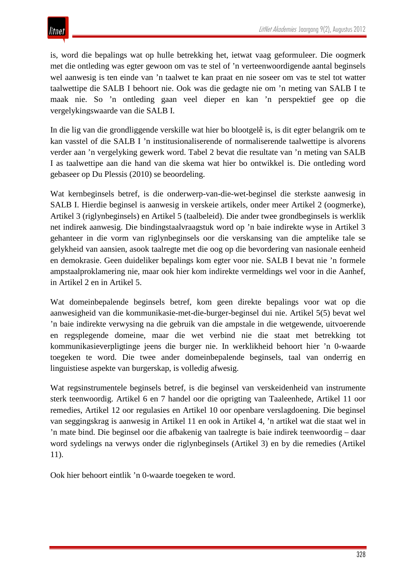is, word die bepalings wat op hulle betrekking het, ietwat vaag geformuleer. Die oogmerk met die ontleding was egter gewoon om vas te stel of 'n verteenwoordigende aantal beginsels wel aanwesig is ten einde van 'n taalwet te kan praat en nie soseer om vas te stel tot watter taalwettipe die SALB I behoort nie. Ook was die gedagte nie om 'n meting van SALB I te maak nie. So 'n ontleding gaan veel dieper en kan 'n perspektief gee op die vergelykingswaarde van die SALB I.

In die lig van die grondliggende verskille wat hier bo blootgelê is, is dit egter belangrik om te kan vasstel of die SALB I 'n institusionaliserende of normaliserende taalwettipe is alvorens verder aan 'n vergelyking gewerk word. Tabel 2 bevat die resultate van 'n meting van SALB I as taalwettipe aan die hand van die skema wat hier bo ontwikkel is. Die ontleding word gebaseer op Du Plessis (2010) se beoordeling.

Wat kernbeginsels betref, is die onderwerp-van-die-wet-beginsel die sterkste aanwesig in SALB I. Hierdie beginsel is aanwesig in verskeie artikels, onder meer Artikel 2 (oogmerke), Artikel 3 (riglynbeginsels) en Artikel 5 (taalbeleid). Die ander twee grondbeginsels is werklik net indirek aanwesig. Die bindingstaalvraagstuk word op 'n baie indirekte wyse in Artikel 3 gehanteer in die vorm van riglynbeginsels oor die verskansing van die amptelike tale se gelykheid van aansien, asook taalregte met die oog op die bevordering van nasionale eenheid en demokrasie. Geen duideliker bepalings kom egter voor nie. SALB I bevat nie 'n formele ampstaalproklamering nie, maar ook hier kom indirekte vermeldings wel voor in die Aanhef, in Artikel 2 en in Artikel 5.

Wat domeinbepalende beginsels betref, kom geen direkte bepalings voor wat op die aanwesigheid van die kommunikasie-met-die-burger-beginsel dui nie. Artikel 5(5) bevat wel 'n baie indirekte verwysing na die gebruik van die ampstale in die wetgewende, uitvoerende en regsplegende domeine, maar die wet verbind nie die staat met betrekking tot kommunikasieverpligtinge jeens die burger nie. In werklikheid behoort hier 'n 0-waarde toegeken te word. Die twee ander domeinbepalende beginsels, taal van onderrig en linguistiese aspekte van burgerskap, is volledig afwesig.

Wat regsinstrumentele beginsels betref, is die beginsel van verskeidenheid van instrumente sterk teenwoordig. Artikel 6 en 7 handel oor die oprigting van Taaleenhede, Artikel 11 oor remedies, Artikel 12 oor regulasies en Artikel 10 oor openbare verslagdoening. Die beginsel van seggingskrag is aanwesig in Artikel 11 en ook in Artikel 4, 'n artikel wat die staat wel in 'n mate bind. Die beginsel oor die afbakenig van taalregte is baie indirek teenwoordig – daar word sydelings na verwys onder die riglynbeginsels (Artikel 3) en by die remedies (Artikel 11).

Ook hier behoort eintlik 'n 0-waarde toegeken te word.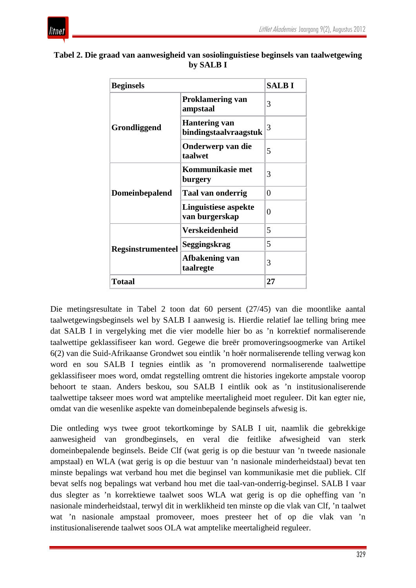

| <b>Beginsels</b>         |                                               | <b>SALBI</b> |
|--------------------------|-----------------------------------------------|--------------|
| Grondliggend             | <b>Proklamering van</b><br>ampstaal           | 3            |
|                          | <b>Hantering van</b><br>bindingstaalvraagstuk | 3            |
|                          | Onderwerp van die<br>taalwet                  | 5            |
| <b>Domeinbepalend</b>    | Kommunikasie met<br>burgery                   | 3            |
|                          | Taal van onderrig                             | 0            |
|                          | <b>Linguistiese aspekte</b><br>van burgerskap | $\theta$     |
|                          | <b>Verskeidenheid</b>                         | 5            |
| <b>Regsinstrumenteel</b> | Seggingskrag                                  | 5            |
|                          | Afbakening van<br>taalregte                   | 3            |
| <b>Totaal</b>            |                                               | 27           |

#### **Tabel 2. Die graad van aanwesigheid van sosiolinguistiese beginsels van taalwetgewing by SALB I**

Die metingsresultate in Tabel 2 toon dat 60 persent (27/45) van die moontlike aantal taalwetgewingsbeginsels wel by SALB I aanwesig is. Hierdie relatief lae telling bring mee dat SALB I in vergelyking met die vier modelle hier bo as 'n korrektief normaliserende taalwettipe geklassifiseer kan word. Gegewe die breër promoveringsoogmerke van Artikel 6(2) van die Suid-Afrikaanse Grondwet sou eintlik 'n hoër normaliserende telling verwag kon word en sou SALB I tegnies eintlik as 'n promoverend normaliserende taalwettipe geklassifiseer moes word, omdat regstelling omtrent die histories ingekorte ampstale voorop behoort te staan. Anders beskou, sou SALB I eintlik ook as 'n institusionaliserende taalwettipe takseer moes word wat amptelike meertaligheid moet reguleer. Dit kan egter nie, omdat van die wesenlike aspekte van domeinbepalende beginsels afwesig is.

Die ontleding wys twee groot tekortkominge by SALB I uit, naamlik die gebrekkige aanwesigheid van grondbeginsels, en veral die feitlike afwesigheid van sterk domeinbepalende beginsels. Beide Clf (wat gerig is op die bestuur van 'n tweede nasionale ampstaal) en WLA (wat gerig is op die bestuur van 'n nasionale minderheidstaal) bevat ten minste bepalings wat verband hou met die beginsel van kommunikasie met die publiek. Clf bevat selfs nog bepalings wat verband hou met die taal-van-onderrig-beginsel. SALB I vaar dus slegter as 'n korrektiewe taalwet soos WLA wat gerig is op die opheffing van 'n nasionale minderheidstaal, terwyl dit in werklikheid ten minste op die vlak van Clf, 'n taalwet wat 'n nasionale ampstaal promoveer, moes presteer het of op die vlak van 'n institusionaliserende taalwet soos OLA wat amptelike meertaligheid reguleer.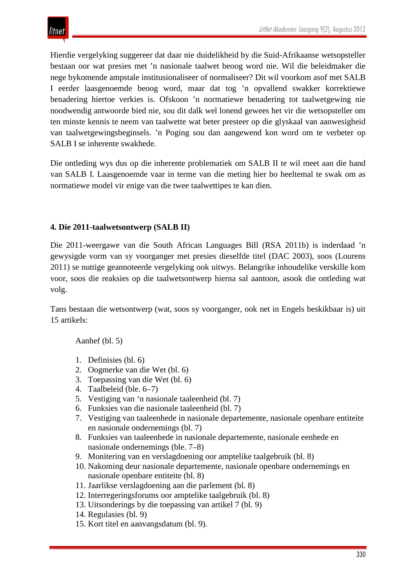Hierdie vergelyking suggereer dat daar nie duidelikheid by die Suid-Afrikaanse wetsopsteller bestaan oor wat presies met 'n nasionale taalwet beoog word nie. Wil die beleidmaker die nege bykomende ampstale institusionaliseer of normaliseer? Dit wil voorkom asof met SALB I eerder laasgenoemde beoog word, maar dat tog 'n opvallend swakker korrektiewe benadering hiertoe verkies is. Ofskoon 'n normatiewe benadering tot taalwetgewing nie noodwendig antwoorde bied nie, sou dit dalk wel lonend gewees het vir die wetsopsteller om ten minste kennis te neem van taalwette wat beter presteer op die glyskaal van aanwesigheid van taalwetgewingsbeginsels. 'n Poging sou dan aangewend kon word om te verbeter op SALB I se inherente swakhede.

Die ontleding wys dus op die inherente problematiek om SALB II te wil meet aan die hand van SALB I. Laasgenoemde vaar in terme van die meting hier bo heeltemal te swak om as normatiewe model vir enige van die twee taalwettipes te kan dien.

#### **4. Die 2011-taalwetsontwerp (SALB II)**

Die 2011-weergawe van die South African Languages Bill (RSA 2011b) is inderdaad 'n gewysigde vorm van sy voorganger met presies dieselfde titel (DAC 2003), soos (Lourens 2011) se nuttige geannoteerde vergelyking ook uitwys. Belangrike inhoudelike verskille kom voor, soos die reaksies op die taalwetsontwerp hierna sal aantoon, asook die ontleding wat volg.

Tans bestaan die wetsontwerp (wat, soos sy voorganger, ook net in Engels beskikbaar is) uit 15 artikels:

Aanhef (bl. 5)

- 1. Definisies (bl. 6)
- 2. Oogmerke van die Wet (bl. 6)
- 3. Toepassing van die Wet (bl. 6)
- 4. Taalbeleid (ble. 6–7)
- 5. Vestiging van 'n nasionale taaleenheid (bl. 7)
- 6. Funksies van die nasionale taaleenheid (bl. 7)
- 7. Vestiging van taaleenhede in nasionale departemente, nasionale openbare entiteite en nasionale ondernemings (bl. 7)
- 8. Funksies van taaleenhede in nasionale departemente, nasionale eenhede en nasionale ondernemings (ble. 7–8)
- 9. Monitering van en verslagdoening oor amptelike taalgebruik (bl. 8)
- 10. Nakoming deur nasionale departemente, nasionale openbare ondernemings en nasionale openbare entiteite (bl. 8)
- 11. Jaarlikse verslagdoening aan die parlement (bl. 8)
- 12. Interregeringsforums oor amptelike taalgebruik (bl. 8)
- 13. Uitsonderings by die toepassing van artikel 7 (bl. 9)
- 14. Regulasies (bl. 9)
- 15. Kort titel en aanvangsdatum (bl. 9).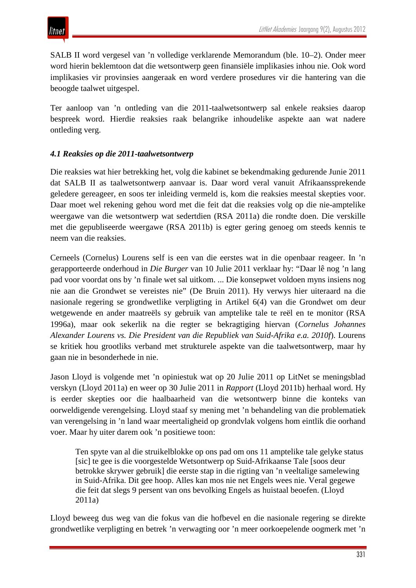SALB II word vergesel van 'n volledige verklarende Memorandum (ble. 10–2). Onder meer word hierin beklemtoon dat die wetsontwerp geen finansiële implikasies inhou nie. Ook word implikasies vir provinsies aangeraak en word verdere prosedures vir die hantering van die beoogde taalwet uitgespel.

Ter aanloop van 'n ontleding van die 2011-taalwetsontwerp sal enkele reaksies daarop bespreek word. Hierdie reaksies raak belangrike inhoudelike aspekte aan wat nadere ontleding verg.

#### *4.1 Reaksies op die 2011-taalwetsontwerp*

Die reaksies wat hier betrekking het, volg die kabinet se bekendmaking gedurende Junie 2011 dat SALB II as taalwetsontwerp aanvaar is. Daar word veral vanuit Afrikaanssprekende geledere gereageer, en soos ter inleiding vermeld is, kom die reaksies meestal skepties voor. Daar moet wel rekening gehou word met die feit dat die reaksies volg op die nie-amptelike weergawe van die wetsontwerp wat sedertdien (RSA 2011a) die rondte doen. Die verskille met die gepubliseerde weergawe (RSA 2011b) is egter gering genoeg om steeds kennis te neem van die reaksies.

Cerneels (Cornelus) Lourens self is een van die eerstes wat in die openbaar reageer. In 'n gerapporteerde onderhoud in *Die Burger* van 10 Julie 2011 verklaar hy: "Daar lê nog 'n lang pad voor voordat ons by 'n finale wet sal uitkom. ... Die konsepwet voldoen myns insiens nog nie aan die Grondwet se vereistes nie" (De Bruin 2011). Hy verwys hier uiteraard na die nasionale regering se grondwetlike verpligting in Artikel 6(4) van die Grondwet om deur wetgewende en ander maatreëls sy gebruik van amptelike tale te reël en te monitor (RSA 1996a), maar ook sekerlik na die regter se bekragtiging hiervan (*Cornelus Johannes Alexander Lourens vs. Die President van die Republiek van Suid-Afrika e.a. 2010f*). Lourens se kritiek hou grootliks verband met strukturele aspekte van die taalwetsontwerp, maar hy gaan nie in besonderhede in nie.

Jason Lloyd is volgende met 'n opiniestuk wat op 20 Julie 2011 op LitNet se meningsblad verskyn (Lloyd 2011a) en weer op 30 Julie 2011 in *Rapport* (Lloyd 2011b) herhaal word. Hy is eerder skepties oor die haalbaarheid van die wetsontwerp binne die konteks van oorweldigende verengelsing. Lloyd staaf sy mening met 'n behandeling van die problematiek van verengelsing in 'n land waar meertaligheid op grondvlak volgens hom eintlik die oorhand voer. Maar hy uiter darem ook 'n positiewe toon:

Ten spyte van al die struikelblokke op ons pad om ons 11 amptelike tale gelyke status [sic] te gee is die voorgestelde Wetsontwerp op Suid-Afrikaanse Tale [soos deur betrokke skrywer gebruik] die eerste stap in die rigting van 'n veeltalige samelewing in Suid-Afrika. Dit gee hoop. Alles kan mos nie net Engels wees nie. Veral gegewe die feit dat slegs 9 persent van ons bevolking Engels as huistaal beoefen. (Lloyd 2011a)

Lloyd beweeg dus weg van die fokus van die hofbevel en die nasionale regering se direkte grondwetlike verpligting en betrek 'n verwagting oor 'n meer oorkoepelende oogmerk met 'n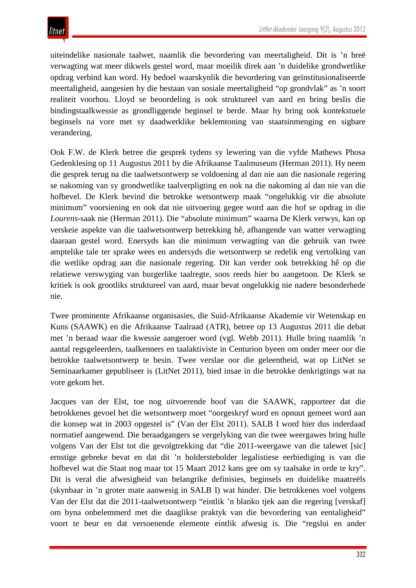uiteindelike nasionale taalwet, naamlik die bevordering van meertaligheid. Dit is 'n breë verwagting wat meer dikwels gestel word, maar moeilik direk aan 'n duidelike grondwetlike opdrag verbind kan word. Hy bedoel waarskynlik die bevordering van geïnstitusionaliseerde meertaligheid, aangesien hy die bestaan van sosiale meertaligheid "op grondvlak" as 'n soort realiteit voorhou. Lloyd se beoordeling is ook struktureel van aard en bring beslis die bindingstaalkwessie as grondliggende beginsel te berde. Maar hy bring ook kontekstuele beginsels na vore met sy daadwerklike beklemtoning van staatsinmenging en sigbare verandering.

Ook F.W. de Klerk betree die gesprek tydens sy lewering van die vyfde Mathews Phosa Gedenklesing op 11 Augustus 2011 by die Afrikaanse Taalmuseum (Herman 2011). Hy neem die gesprek terug na die taalwetsontwerp se voldoening al dan nie aan die nasionale regering se nakoming van sy grondwetlike taalverpligting en ook na die nakoming al dan nie van die hofbevel. De Klerk bevind die betrokke wetsontwerp maak "ongelukkig vir die absolute minimum" voorsiening en ook dat nie uitvoering gegee word aan die hof se opdrag in die *Lourens*-saak nie (Herman 2011). Die "absolute minimum" waarna De Klerk verwys, kan op verskeie aspekte van die taalwetsontwerp betrekking hê, afhangende van watter verwagting daaraan gestel word. Enersyds kan die minimum verwagting van die gebruik van twee amptelike tale ter sprake wees en andersyds die wetsontwerp se redelik eng vertolking van die wetlike opdrag aan die nasionale regering. Dit kan verder ook betrekking hê op die relatiewe verswyging van burgerlike taalregte, soos reeds hier bo aangetoon. De Klerk se kritiek is ook grootliks struktureel van aard, maar bevat ongelukkig nie nadere besonderhede nie.

Twee prominente Afrikaanse organisasies, die Suid-Afrikaanse Akademie vir Wetenskap en Kuns (SAAWK) en die Afrikaanse Taalraad (ATR), betree op 13 Augustus 2011 die debat met 'n beraad waar die kwessie aangeroer word (vgl. Webb 2011). Hulle bring naamlik 'n aantal regsgeleerders, taalkenners en taalaktiviste in Centurion byeen om onder meer oor die betrokke taalwetsontwerp te besin. Twee verslae oor die geleentheid, wat op LitNet se Seminaarkamer gepubliseer is (LitNet 2011), bied insae in die betrokke denkrigtings wat na vore gekom het.

Jacques van der Elst, toe nog uitvoerende hoof van die SAAWK, rapporteer dat die betrokkenes gevoel het die wetsontwerp moet "oorgeskryf word en opnuut gemeet word aan die konsep wat in 2003 opgestel is" (Van der Elst 2011). SALB I word hier dus inderdaad normatief aangewend. Die beraadgangers se vergelyking van die twee weergawes bring hulle volgens Van der Elst tot die gevolgtrekking dat "die 2011-weergawe van die talewet [sic] ernstige gebreke bevat en dat dit 'n holderstebolder legalistiese eerbiediging is van die hofbevel wat die Staat nog maar tot 15 Maart 2012 kans gee om sy taalsake in orde te kry". Dit is veral die afwesigheid van belangrike definisies, beginsels en duidelike maatreëls (skynbaar in 'n groter mate aanwesig in SALB I) wat hinder. Die betrokkenes voel volgens Van der Elst dat die 2011-taalwetsontwerp "eintlik 'n blanko tjek aan die regering [verskaf] om byna onbelemmerd met die daaglikse praktyk van die bevordering van eentaligheid" voort te beur en dat versoenende elemente eintlik afwesig is. Die "regslui en ander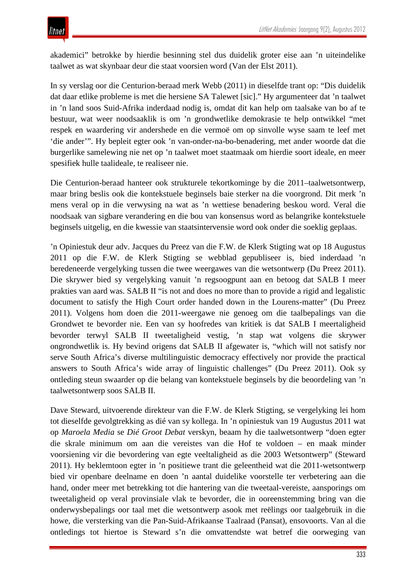akademici" betrokke by hierdie besinning stel dus duidelik groter eise aan 'n uiteindelike taalwet as wat skynbaar deur die staat voorsien word (Van der Elst 2011).

In sy verslag oor die Centurion-beraad merk Webb (2011) in dieselfde trant op: "Dis duidelik dat daar etlike probleme is met die hersiene SA Talewet [sic]." Hy argumenteer dat 'n taalwet in 'n land soos Suid-Afrika inderdaad nodig is, omdat dit kan help om taalsake van bo af te bestuur, wat weer noodsaaklik is om 'n grondwetlike demokrasie te help ontwikkel "met respek en waardering vir andershede en die vermoë om op sinvolle wyse saam te leef met 'die ander'". Hy bepleit egter ook 'n van-onder-na-bo-benadering, met ander woorde dat die burgerlike samelewing nie net op 'n taalwet moet staatmaak om hierdie soort ideale, en meer spesifiek hulle taalideale, te realiseer nie.

Die Centurion-beraad hanteer ook strukturele tekortkominge by die 2011–taalwetsontwerp, maar bring beslis ook die kontekstuele beginsels baie sterker na die voorgrond. Dit merk 'n mens veral op in die verwysing na wat as 'n wettiese benadering beskou word. Veral die noodsaak van sigbare verandering en die bou van konsensus word as belangrike kontekstuele beginsels uitgelig, en die kwessie van staatsintervensie word ook onder die soeklig geplaas.

'n Opiniestuk deur adv. Jacques du Preez van die F.W. de Klerk Stigting wat op 18 Augustus 2011 op die F.W. de Klerk Stigting se webblad gepubliseer is, bied inderdaad 'n beredeneerde vergelyking tussen die twee weergawes van die wetsontwerp (Du Preez 2011). Die skrywer bied sy vergelyking vanuit 'n regsoogpunt aan en betoog dat SALB I meer prakties van aard was. SALB II "is not and does no more than to provide a rigid and legalistic document to satisfy the High Court order handed down in the Lourens-matter" (Du Preez 2011). Volgens hom doen die 2011-weergawe nie genoeg om die taalbepalings van die Grondwet te bevorder nie. Een van sy hoofredes van kritiek is dat SALB I meertaligheid bevorder terwyl SALB II tweetaligheid vestig, 'n stap wat volgens die skrywer ongrondwetlik is. Hy bevind origens dat SALB II afgewater is, "which will not satisfy nor serve South Africa's diverse multilinguistic democracy effectively nor provide the practical answers to South Africa's wide array of linguistic challenges" (Du Preez 2011). Ook sy ontleding steun swaarder op die belang van kontekstuele beginsels by die beoordeling van 'n taalwetsontwerp soos SALB II.

Dave Steward, uitvoerende direkteur van die F.W. de Klerk Stigting, se vergelyking lei hom tot dieselfde gevolgtrekking as dié van sy kollega. In 'n opiniestuk van 19 Augustus 2011 wat op *Maroela Media* se *Dié Groot Debat* verskyn, beaam hy die taalwetsontwerp "doen egter die skrale minimum om aan die vereistes van die Hof te voldoen – en maak minder voorsiening vir die bevordering van egte veeltaligheid as die 2003 Wetsontwerp" (Steward 2011). Hy beklemtoon egter in 'n positiewe trant die geleentheid wat die 2011-wetsontwerp bied vir openbare deelname en doen 'n aantal duidelike voorstelle ter verbetering aan die hand, onder meer met betrekking tot die hantering van die tweetaal-vereiste, aansporings om tweetaligheid op veral provinsiale vlak te bevorder, die in ooreenstemming bring van die onderwysbepalings oor taal met die wetsontwerp asook met reëlings oor taalgebruik in die howe, die versterking van die Pan-Suid-Afrikaanse Taalraad (Pansat), ensovoorts. Van al die ontledings tot hiertoe is Steward s'n die omvattendste wat betref die oorweging van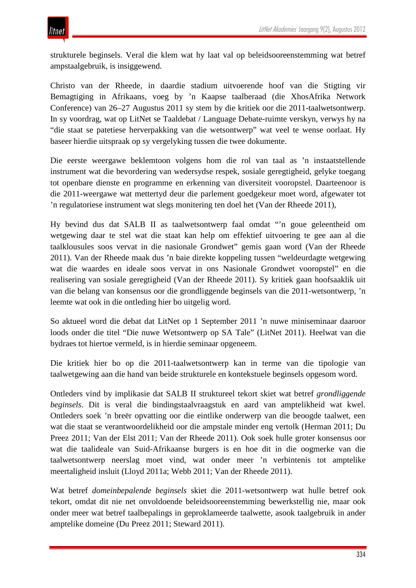strukturele beginsels. Veral die klem wat hy laat val op beleidsooreenstemming wat betref ampstaalgebruik, is insiggewend.

Christo van der Rheede, in daardie stadium uitvoerende hoof van die Stigting vir Bemagtiging in Afrikaans, voeg by 'n Kaapse taalberaad (die XhosAfrika Network Conference) van 26–27 Augustus 2011 sy stem by die kritiek oor die 2011-taalwetsontwerp. In sy voordrag, wat op LitNet se Taaldebat / Language Debate-ruimte verskyn, verwys hy na "die staat se patetiese herverpakking van die wetsontwerp" wat veel te wense oorlaat. Hy baseer hierdie uitspraak op sy vergelyking tussen die twee dokumente.

Die eerste weergawe beklemtoon volgens hom die rol van taal as 'n instaatstellende instrument wat die bevordering van wedersydse respek, sosiale geregtigheid, gelyke toegang tot openbare dienste en programme en erkenning van diversiteit vooropstel. Daarteenoor is die 2011-weergawe wat mettertyd deur die parlement goedgekeur moet word, afgewater tot 'n regulatoriese instrument wat slegs monitering ten doel het (Van der Rheede 2011),

Hy bevind dus dat SALB II as taalwetsontwerp faal omdat "'n goue geleentheid om wetgewing daar te stel wat die staat kan help om effektief uitvoering te gee aan al die taalklousules soos vervat in die nasionale Grondwet" gemis gaan word (Van der Rheede 2011). Van der Rheede maak dus 'n baie direkte koppeling tussen "weldeurdagte wetgewing wat die waardes en ideale soos vervat in ons Nasionale Grondwet vooropstel" en die realisering van sosiale geregtigheid (Van der Rheede 2011). Sy kritiek gaan hoofsaaklik uit van die belang van konsensus oor die grondliggende beginsels van die 2011-wetsontwerp, 'n leemte wat ook in die ontleding hier bo uitgelig word.

So aktueel word die debat dat LitNet op 1 September 2011 'n nuwe miniseminaar daaroor loods onder die titel "Die nuwe Wetsontwerp op SA Tale" (LitNet 2011). Heelwat van die bydraes tot hiertoe vermeld, is in hierdie seminaar opgeneem.

Die kritiek hier bo op die 2011-taalwetsontwerp kan in terme van die tipologie van taalwetgewing aan die hand van beide strukturele en kontekstuele beginsels opgesom word.

Ontleders vind by implikasie dat SALB II struktureel tekort skiet wat betref *grondliggende beginsels*. Dit is veral die bindingstaalvraagstuk en aard van amptelikheid wat kwel. Ontleders soek 'n breër opvatting oor die eintlike onderwerp van die beoogde taalwet, een wat die staat se verantwoordelikheid oor die ampstale minder eng vertolk (Herman 2011; Du Preez 2011; Van der Elst 2011; Van der Rheede 2011). Ook soek hulle groter konsensus oor wat die taalideale van Suid-Afrikaanse burgers is en hoe dit in die oogmerke van die taalwetsontwerp neerslag moet vind, wat onder meer 'n verbintenis tot amptelike meertaligheid insluit (Lloyd 2011a; Webb 2011; Van der Rheede 2011).

Wat betref *domeinbepalende beginsels* skiet die 2011-wetsontwerp wat hulle betref ook tekort, omdat dit nie net onvoldoende beleidsooreenstemming bewerkstellig nie, maar ook onder meer wat betref taalbepalings in geproklameerde taalwette, asook taalgebruik in ander amptelike domeine (Du Preez 2011; Steward 2011).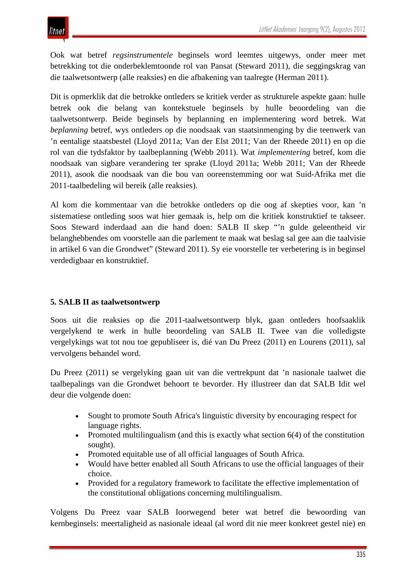Ook wat betref *regsinstrumentele* beginsels word leemtes uitgewys, onder meer met betrekking tot die onderbeklemtoonde rol van Pansat (Steward 2011), die seggingskrag van die taalwetsontwerp (alle reaksies) en die afbakening van taalregte (Herman 2011).

Dit is opmerklik dat die betrokke ontleders se kritiek verder as strukturele aspekte gaan: hulle betrek ook die belang van kontekstuele beginsels by hulle beoordeling van die taalwetsontwerp. Beide beginsels by beplanning en implementering word betrek. Wat *beplanning* betref, wys ontleders op die noodsaak van staatsinmenging by die teenwerk van 'n eentalige staatsbestel (Lloyd 2011a; Van der Elst 2011; Van der Rheede 2011) en op die rol van die tydsfaktor by taalbeplanning (Webb 2011). Wat *implementering* betref, kom die noodsaak van sigbare verandering ter sprake (Lloyd 2011a; Webb 2011; Van der Rheede 2011), asook die noodsaak van die bou van ooreenstemming oor wat Suid-Afrika met die 2011-taalbedeling wil bereik (alle reaksies).

Al kom die kommentaar van die betrokke ontleders op die oog af skepties voor, kan 'n sistematiese ontleding soos wat hier gemaak is, help om die kritiek konstruktief te takseer. Soos Steward inderdaad aan die hand doen: SALB II skep "'n gulde geleentheid vir belanghebbendes om voorstelle aan die parlement te maak wat beslag sal gee aan die taalvisie in artikel 6 van die Grondwet" (Steward 2011). Sy eie voorstelle ter verbetering is in beginsel verdedigbaar en konstruktief.

## **5. SALB II as taalwetsontwerp**

Soos uit die reaksies op die 2011-taalwetsontwerp blyk, gaan ontleders hoofsaaklik vergelykend te werk in hulle beoordeling van SALB II. Twee van die volledigste vergelykings wat tot nou toe gepubliseer is, dié van Du Preez (2011) en Lourens (2011), sal vervolgens behandel word.

Du Preez (2011) se vergelyking gaan uit van die vertrekpunt dat 'n nasionale taalwet die taalbepalings van die Grondwet behoort te bevorder. Hy illustreer dan dat SALB Idit wel deur die volgende doen:

- Sought to promote South Africa's linguistic diversity by encouraging respect for language rights.
- Promoted multilingualism (and this is exactly what section  $6(4)$  of the constitution sought).
- Promoted equitable use of all official languages of South Africa.
- Would have better enabled all South Africans to use the official languages of their choice.
- Provided for a regulatory framework to facilitate the effective implementation of the constitutional obligations concerning multilingualism.

Volgens Du Preez vaar SALB Ioorwegend beter wat betref die bewoording van kernbeginsels: meertaligheid as nasionale ideaal (al word dit nie meer konkreet gestel nie) en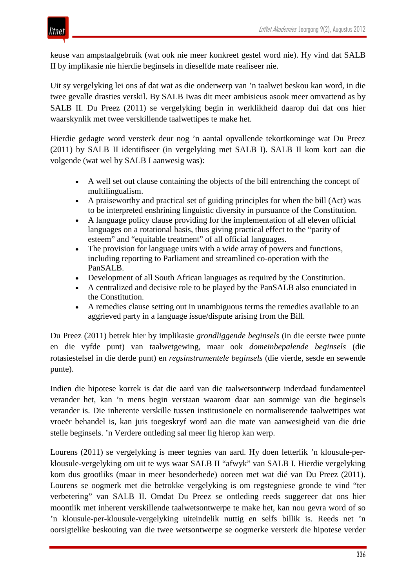

keuse van ampstaalgebruik (wat ook nie meer konkreet gestel word nie). Hy vind dat SALB II by implikasie nie hierdie beginsels in dieselfde mate realiseer nie.

Uit sy vergelyking lei ons af dat wat as die onderwerp van 'n taalwet beskou kan word, in die twee gevalle drasties verskil. By SALB Iwas dit meer ambisieus asook meer omvattend as by SALB II. Du Preez (2011) se vergelyking begin in werklikheid daarop dui dat ons hier waarskynlik met twee verskillende taalwettipes te make het.

Hierdie gedagte word versterk deur nog 'n aantal opvallende tekortkominge wat Du Preez (2011) by SALB II identifiseer (in vergelyking met SALB I). SALB II kom kort aan die volgende (wat wel by SALB I aanwesig was):

- A well set out clause containing the objects of the bill entrenching the concept of multilingualism.
- A praiseworthy and practical set of guiding principles for when the bill (Act) was to be interpreted enshrining linguistic diversity in pursuance of the Constitution.
- A language policy clause providing for the implementation of all eleven official languages on a rotational basis, thus giving practical effect to the "parity of esteem" and "equitable treatment" of all official languages.
- The provision for language units with a wide array of powers and functions, including reporting to Parliament and streamlined co-operation with the PanSALB.
- Development of all South African languages as required by the Constitution.
- A centralized and decisive role to be played by the PanSALB also enunciated in the Constitution.
- A remedies clause setting out in unambiguous terms the remedies available to an aggrieved party in a language issue/dispute arising from the Bill.

Du Preez (2011) betrek hier by implikasie *grondliggende beginsels* (in die eerste twee punte en die vyfde punt) van taalwetgewing, maar ook *domeinbepalende beginsels* (die rotasiestelsel in die derde punt) en *regsinstrumentele beginsels* (die vierde, sesde en sewende punte).

Indien die hipotese korrek is dat die aard van die taalwetsontwerp inderdaad fundamenteel verander het, kan 'n mens begin verstaan waarom daar aan sommige van die beginsels verander is. Die inherente verskille tussen institusionele en normaliserende taalwettipes wat vroeër behandel is, kan juis toegeskryf word aan die mate van aanwesigheid van die drie stelle beginsels. 'n Verdere ontleding sal meer lig hierop kan werp.

Lourens (2011) se vergelyking is meer tegnies van aard. Hy doen letterlik 'n klousule-perklousule-vergelyking om uit te wys waar SALB II "afwyk" van SALB I. Hierdie vergelyking kom dus grootliks (maar in meer besonderhede) ooreen met wat dié van Du Preez (2011). Lourens se oogmerk met die betrokke vergelyking is om regstegniese gronde te vind "ter verbetering" van SALB II. Omdat Du Preez se ontleding reeds suggereer dat ons hier moontlik met inherent verskillende taalwetsontwerpe te make het, kan nou gevra word of so 'n klousule-per-klousule-vergelyking uiteindelik nuttig en selfs billik is. Reeds net 'n oorsigtelike beskouing van die twee wetsontwerpe se oogmerke versterk die hipotese verder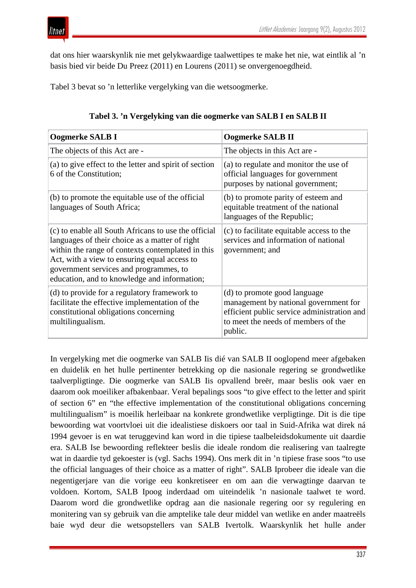dat ons hier waarskynlik nie met gelykwaardige taalwettipes te make het nie, wat eintlik al 'n basis bied vir beide Du Preez (2011) en Lourens (2011) se onvergenoegdheid.

Tabel 3 bevat so 'n letterlike vergelyking van die wetsoogmerke.

| Oogmerke SALB I                                                                                                                                                                                                                                                                                       | Oogmerke SALB II                                                                                                                                                       |
|-------------------------------------------------------------------------------------------------------------------------------------------------------------------------------------------------------------------------------------------------------------------------------------------------------|------------------------------------------------------------------------------------------------------------------------------------------------------------------------|
| The objects of this Act are -                                                                                                                                                                                                                                                                         | The objects in this Act are -                                                                                                                                          |
| (a) to give effect to the letter and spirit of section<br>6 of the Constitution;                                                                                                                                                                                                                      | (a) to regulate and monitor the use of<br>official languages for government<br>purposes by national government;                                                        |
| (b) to promote the equitable use of the official<br>languages of South Africa;                                                                                                                                                                                                                        | (b) to promote parity of esteem and<br>equitable treatment of the national<br>languages of the Republic;                                                               |
| (c) to enable all South Africans to use the official<br>languages of their choice as a matter of right<br>within the range of contexts contemplated in this<br>Act, with a view to ensuring equal access to<br>government services and programmes, to<br>education, and to knowledge and information; | (c) to facilitate equitable access to the<br>services and information of national<br>government; and                                                                   |
| (d) to provide for a regulatory framework to<br>facilitate the effective implementation of the<br>constitutional obligations concerning<br>multilingualism.                                                                                                                                           | (d) to promote good language<br>management by national government for<br>efficient public service administration and<br>to meet the needs of members of the<br>public. |

**Tabel 3. 'n Vergelyking van die oogmerke van SALB I en SALB II**

In vergelyking met die oogmerke van SALB Iis dié van SALB II ooglopend meer afgebaken en duidelik en het hulle pertinenter betrekking op die nasionale regering se grondwetlike taalverpligtinge. Die oogmerke van SALB Iis opvallend breër, maar beslis ook vaer en daarom ook moeiliker afbakenbaar. Veral bepalings soos "to give effect to the letter and spirit of section 6" en "the effective implementation of the constitutional obligations concerning multilingualism" is moeilik herleibaar na konkrete grondwetlike verpligtinge. Dit is die tipe bewoording wat voortvloei uit die idealistiese diskoers oor taal in Suid-Afrika wat direk ná 1994 gevoer is en wat teruggevind kan word in die tipiese taalbeleidsdokumente uit daardie era. SALB Ise bewoording reflekteer beslis die ideale rondom die realisering van taalregte wat in daardie tyd gekoester is (vgl. Sachs 1994). Ons merk dit in 'n tipiese frase soos "to use the official languages of their choice as a matter of right". SALB Iprobeer die ideale van die negentigerjare van die vorige eeu konkretiseer en om aan die verwagtinge daarvan te voldoen. Kortom, SALB Ipoog inderdaad om uiteindelik 'n nasionale taalwet te word. Daarom word die grondwetlike opdrag aan die nasionale regering oor sy regulering en monitering van sy gebruik van die amptelike tale deur middel van wetlike en ander maatreëls baie wyd deur die wetsopstellers van SALB Ivertolk. Waarskynlik het hulle ander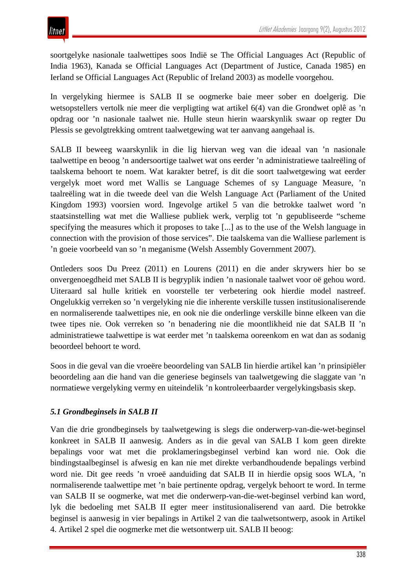soortgelyke nasionale taalwettipes soos Indië se The Official Languages Act (Republic of India 1963), Kanada se Official Languages Act (Department of Justice, Canada 1985) en Ierland se Official Languages Act (Republic of Ireland 2003) as modelle voorgehou.

In vergelyking hiermee is SALB II se oogmerke baie meer sober en doelgerig. Die wetsopstellers vertolk nie meer die verpligting wat artikel 6(4) van die Grondwet oplê as 'n opdrag oor 'n nasionale taalwet nie. Hulle steun hierin waarskynlik swaar op regter Du Plessis se gevolgtrekking omtrent taalwetgewing wat ter aanvang aangehaal is.

SALB II beweeg waarskynlik in die lig hiervan weg van die ideaal van 'n nasionale taalwettipe en beoog 'n andersoortige taalwet wat ons eerder 'n administratiewe taalreëling of taalskema behoort te noem. Wat karakter betref, is dit die soort taalwetgewing wat eerder vergelyk moet word met Wallis se Language Schemes of sy Language Measure, 'n taalreëling wat in die tweede deel van die Welsh Language Act (Parliament of the United Kingdom 1993) voorsien word. Ingevolge artikel 5 van die betrokke taalwet word 'n staatsinstelling wat met die Walliese publiek werk, verplig tot 'n gepubliseerde "scheme specifying the measures which it proposes to take [...] as to the use of the Welsh language in connection with the provision of those services". Die taalskema van die Walliese parlement is 'n goeie voorbeeld van so 'n meganisme (Welsh Assembly Government 2007).

Ontleders soos Du Preez (2011) en Lourens (2011) en die ander skrywers hier bo se onvergenoegdheid met SALB II is begryplik indien 'n nasionale taalwet voor oë gehou word. Uiteraard sal hulle kritiek en voorstelle ter verbetering ook hierdie model nastreef. Ongelukkig verreken so 'n vergelyking nie die inherente verskille tussen institusionaliserende en normaliserende taalwettipes nie, en ook nie die onderlinge verskille binne elkeen van die twee tipes nie. Ook verreken so 'n benadering nie die moontlikheid nie dat SALB II 'n administratiewe taalwettipe is wat eerder met 'n taalskema ooreenkom en wat dan as sodanig beoordeel behoort te word.

Soos in die geval van die vroeëre beoordeling van SALB Iin hierdie artikel kan 'n prinsipiëler beoordeling aan die hand van die generiese beginsels van taalwetgewing die slaggate van 'n normatiewe vergelyking vermy en uiteindelik 'n kontroleerbaarder vergelykingsbasis skep.

## *5.1 Grondbeginsels in SALB II*

Van die drie grondbeginsels by taalwetgewing is slegs die onderwerp-van-die-wet-beginsel konkreet in SALB II aanwesig. Anders as in die geval van SALB I kom geen direkte bepalings voor wat met die proklameringsbeginsel verbind kan word nie. Ook die bindingstaalbeginsel is afwesig en kan nie met direkte verbandhoudende bepalings verbind word nie. Dit gee reeds 'n vroeë aanduiding dat SALB II in hierdie opsig soos WLA, 'n normaliserende taalwettipe met 'n baie pertinente opdrag, vergelyk behoort te word. In terme van SALB II se oogmerke, wat met die onderwerp-van-die-wet-beginsel verbind kan word, lyk die bedoeling met SALB II egter meer institusionaliserend van aard. Die betrokke beginsel is aanwesig in vier bepalings in Artikel 2 van die taalwetsontwerp, asook in Artikel 4. Artikel 2 spel die oogmerke met die wetsontwerp uit. SALB II beoog: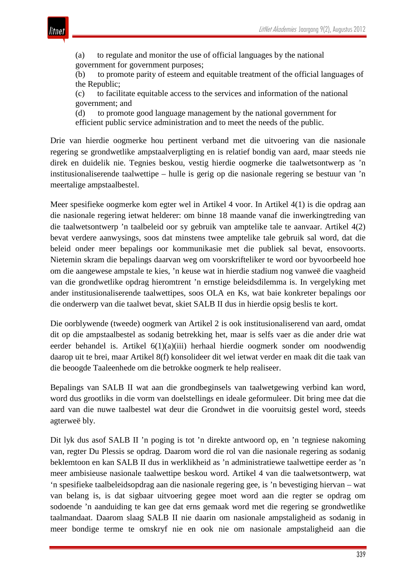(a) to regulate and monitor the use of official languages by the national government for government purposes;

(b) to promote parity of esteem and equitable treatment of the official languages of the Republic;

(c) to facilitate equitable access to the services and information of the national government; and

(d) to promote good language management by the national government for efficient public service administration and to meet the needs of the public.

Drie van hierdie oogmerke hou pertinent verband met die uitvoering van die nasionale regering se grondwetlike ampstaalverpligting en is relatief bondig van aard, maar steeds nie direk en duidelik nie. Tegnies beskou, vestig hierdie oogmerke die taalwetsontwerp as 'n institusionaliserende taalwettipe – hulle is gerig op die nasionale regering se bestuur van 'n meertalige ampstaalbestel.

Meer spesifieke oogmerke kom egter wel in Artikel 4 voor. In Artikel 4(1) is die opdrag aan die nasionale regering ietwat helderer: om binne 18 maande vanaf die inwerkingtreding van die taalwetsontwerp 'n taalbeleid oor sy gebruik van amptelike tale te aanvaar. Artikel 4(2) bevat verdere aanwysings, soos dat minstens twee amptelike tale gebruik sal word, dat die beleid onder meer bepalings oor kommunikasie met die publiek sal bevat, ensovoorts. Nietemin skram die bepalings daarvan weg om voorskrifteliker te word oor byvoorbeeld hoe om die aangewese ampstale te kies, 'n keuse wat in hierdie stadium nog vanweë die vaagheid van die grondwetlike opdrag hieromtrent 'n ernstige beleidsdilemma is. In vergelyking met ander institusionaliserende taalwettipes, soos OLA en Ks, wat baie konkreter bepalings oor die onderwerp van die taalwet bevat, skiet SALB II dus in hierdie opsig beslis te kort.

Die oorblywende (tweede) oogmerk van Artikel 2 is ook institusionaliserend van aard, omdat dit op die ampstaalbestel as sodanig betrekking het, maar is selfs vaer as die ander drie wat eerder behandel is. Artikel 6(1)(a)(iii) herhaal hierdie oogmerk sonder om noodwendig daarop uit te brei, maar Artikel 8(f) konsolideer dit wel ietwat verder en maak dit die taak van die beoogde Taaleenhede om die betrokke oogmerk te help realiseer.

Bepalings van SALB II wat aan die grondbeginsels van taalwetgewing verbind kan word, word dus grootliks in die vorm van doelstellings en ideale geformuleer. Dit bring mee dat die aard van die nuwe taalbestel wat deur die Grondwet in die vooruitsig gestel word, steeds agterweë bly.

Dit lyk dus asof SALB II 'n poging is tot 'n direkte antwoord op, en 'n tegniese nakoming van, regter Du Plessis se opdrag. Daarom word die rol van die nasionale regering as sodanig beklemtoon en kan SALB II dus in werklikheid as 'n administratiewe taalwettipe eerder as 'n meer ambisieuse nasionale taalwettipe beskou word. Artikel 4 van die taalwetsontwerp, wat 'n spesifieke taalbeleidsopdrag aan die nasionale regering gee, is 'n bevestiging hiervan – wat van belang is, is dat sigbaar uitvoering gegee moet word aan die regter se opdrag om sodoende 'n aanduiding te kan gee dat erns gemaak word met die regering se grondwetlike taalmandaat. Daarom slaag SALB II nie daarin om nasionale ampstaligheid as sodanig in meer bondige terme te omskryf nie en ook nie om nasionale ampstaligheid aan die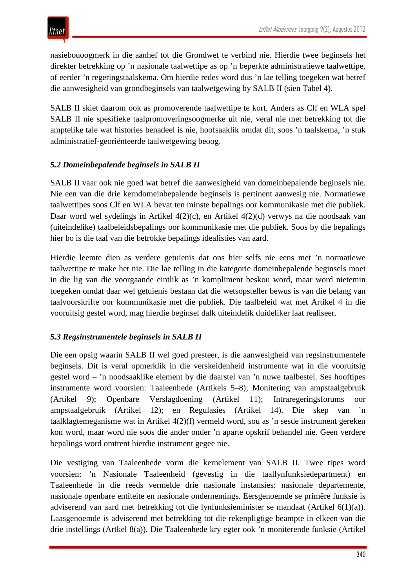

nasiebouoogmerk in die aanhef tot die Grondwet te verbind nie. Hierdie twee beginsels het direkter betrekking op 'n nasionale taalwettipe as op 'n beperkte administratiewe taalwettipe, of eerder 'n regeringstaalskema. Om hierdie redes word dus 'n lae telling toegeken wat betref die aanwesigheid van grondbeginsels van taalwetgewing by SALB II (sien Tabel 4).

SALB II skiet daarom ook as promoverende taalwettipe te kort. Anders as Clf en WLA spel SALB II nie spesifieke taalpromoveringsoogmerke uit nie, veral nie met betrekking tot die amptelike tale wat histories benadeel is nie, hoofsaaklik omdat dit, soos 'n taalskema, 'n stuk administratief-georiënteerde taalwetgewing beoog.

### *5.2 Domeinbepalende beginsels in SALB II*

SALB II vaar ook nie goed wat betref die aanwesigheid van domeinbepalende beginsels nie. Nie een van die drie kerndomeinbepalende beginsels is pertinent aanwesig nie. Normatiewe taalwettipes soos Clf en WLA bevat ten minste bepalings oor kommunikasie met die publiek. Daar word wel sydelings in Artikel 4(2)(c), en Artikel 4(2)(d) verwys na die noodsaak van (uiteindelike) taalbeleidsbepalings oor kommunikasie met die publiek. Soos by die bepalings hier bo is die taal van die betrokke bepalings idealisties van aard.

Hierdie leemte dien as verdere getuienis dat ons hier selfs nie eens met 'n normatiewe taalwettipe te make het nie. Die lae telling in die kategorie domeinbepalende beginsels moet in die lig van die voorgaande eintlik as 'n kompliment beskou word, maar word nietemin toegeken omdat daar wel getuienis bestaan dat die wetsopsteller bewus is van die belang van taalvoorskrifte oor kommunikasie met die publiek. Die taalbeleid wat met Artikel 4 in die vooruitsig gestel word, mag hierdie beginsel dalk uiteindelik duideliker laat realiseer.

#### *5.3 Regsinstrumentele beginsels in SALB II*

Die een opsig waarin SALB II wel goed presteer, is die aanwesigheid van regsinstrumentele beginsels. Dit is veral opmerklik in die verskeidenheid instrumente wat in die vooruitsig gestel word – 'n noodsaaklike element by die daarstel van 'n nuwe taalbestel. Ses hooftipes instrumente word voorsien: Taaleenhede (Artikels 5–8); Monitering van ampstaalgebruik (Artikel 9); Openbare Verslagdoening (Artikel 11); Intraregeringsforums oor ampstaalgebruik (Artikel 12); en Regulasies (Artikel 14). Die skep van 'n taalklagtemeganisme wat in Artikel 4(2)(f) vermeld word, sou as 'n sesde instrument gereken kon word, maar word nie soos die ander onder 'n aparte opskrif behandel nie. Geen verdere bepalings word omtrent hierdie instrument gegee nie.

Die vestiging van Taaleenhede vorm die kernelement van SALB II. Twee tipes word voorsien: 'n Nasionale Taaleenheid (gevestig in die taallynfunksiedepartment) en Taaleenhede in die reeds vermelde drie nasionale instansies: nasionale departemente, nasionale openbare entiteite en nasionale ondernemings. Eersgenoemde se primêre funksie is adviserend van aard met betrekking tot die lynfunksieminister se mandaat (Artikel 6(1)(a)). Laasgenoemde is adviserend met betrekking tot die rekenpligtige beampte in elkeen van die drie instellings (Artkel 8(a)). Die Taaleenhede kry egter ook 'n moniterende funksie (Artikel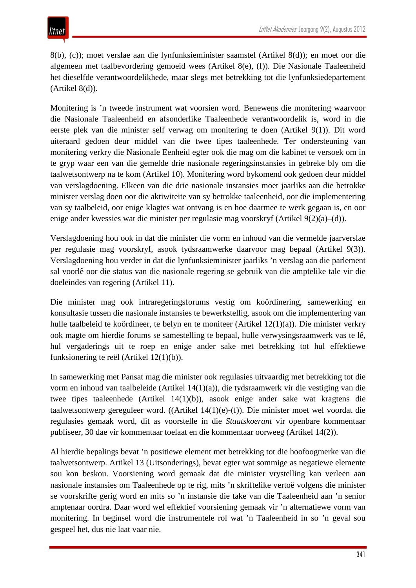8(b), (c)); moet verslae aan die lynfunksieminister saamstel (Artikel 8(d)); en moet oor die algemeen met taalbevordering gemoeid wees (Artikel 8(e), (f)). Die Nasionale Taaleenheid het dieselfde verantwoordelikhede, maar slegs met betrekking tot die lynfunksiedepartement  $(Aritikel 8(d)).$ 

Monitering is 'n tweede instrument wat voorsien word. Benewens die monitering waarvoor die Nasionale Taaleenheid en afsonderlike Taaleenhede verantwoordelik is, word in die eerste plek van die minister self verwag om monitering te doen (Artikel 9(1)). Dit word uiteraard gedoen deur middel van die twee tipes taaleenhede. Ter ondersteuning van monitering verkry die Nasionale Eenheid egter ook die mag om die kabinet te versoek om in te gryp waar een van die gemelde drie nasionale regeringsinstansies in gebreke bly om die taalwetsontwerp na te kom (Artikel 10). Monitering word bykomend ook gedoen deur middel van verslagdoening. Elkeen van die drie nasionale instansies moet jaarliks aan die betrokke minister verslag doen oor die aktiwiteite van sy betrokke taaleenheid, oor die implementering van sy taalbeleid, oor enige klagtes wat ontvang is en hoe daarmee te werk gegaan is, en oor enige ander kwessies wat die minister per regulasie mag voorskryf (Artikel 9(2)(a)–(d)).

Verslagdoening hou ook in dat die minister die vorm en inhoud van die vermelde jaarverslae per regulasie mag voorskryf, asook tydsraamwerke daarvoor mag bepaal (Artikel 9(3)). Verslagdoening hou verder in dat die lynfunksieminister jaarliks 'n verslag aan die parlement sal voorlê oor die status van die nasionale regering se gebruik van die amptelike tale vir die doeleindes van regering (Artikel 11).

Die minister mag ook intraregeringsforums vestig om koördinering, samewerking en konsultasie tussen die nasionale instansies te bewerkstellig, asook om die implementering van hulle taalbeleid te koördineer, te belyn en te moniteer (Artikel 12(1)(a)). Die minister verkry ook magte om hierdie forums se samestelling te bepaal, hulle verwysingsraamwerk vas te lê, hul vergaderings uit te roep en enige ander sake met betrekking tot hul effektiewe funksionering te reël (Artikel 12(1)(b)).

In samewerking met Pansat mag die minister ook regulasies uitvaardig met betrekking tot die vorm en inhoud van taalbeleide (Artikel 14(1)(a)), die tydsraamwerk vir die vestiging van die twee tipes taaleenhede (Artikel 14(1)(b)), asook enige ander sake wat kragtens die taalwetsontwerp gereguleer word. ((Artikel 14(1)(e)-(f)). Die minister moet wel voordat die regulasies gemaak word, dit as voorstelle in die *Staatskoerant* vir openbare kommentaar publiseer, 30 dae vir kommentaar toelaat en die kommentaar oorweeg (Artikel 14(2)).

Al hierdie bepalings bevat 'n positiewe element met betrekking tot die hoofoogmerke van die taalwetsontwerp. Artikel 13 (Uitsonderings), bevat egter wat sommige as negatiewe elemente sou kon beskou. Voorsiening word gemaak dat die minister vrystelling kan verleen aan nasionale instansies om Taaleenhede op te rig, mits 'n skriftelike vertoë volgens die minister se voorskrifte gerig word en mits so 'n instansie die take van die Taaleenheid aan 'n senior amptenaar oordra. Daar word wel effektief voorsiening gemaak vir 'n alternatiewe vorm van monitering. In beginsel word die instrumentele rol wat 'n Taaleenheid in so 'n geval sou gespeel het, dus nie laat vaar nie.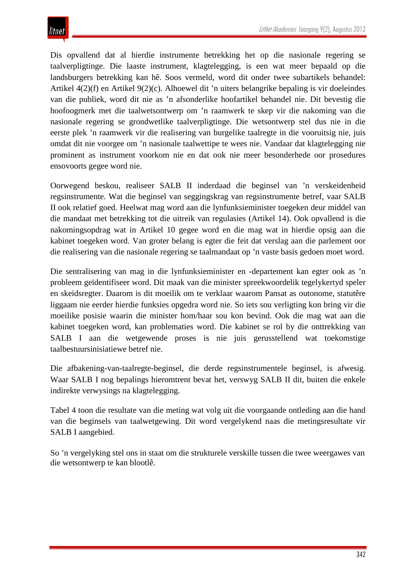Dis opvallend dat al hierdie instrumente betrekking het op die nasionale regering se taalverpligtinge. Die laaste instrument, klagtelegging, is een wat meer bepaald op die landsburgers betrekking kan hê. Soos vermeld, word dit onder twee subartikels behandel: Artikel 4(2)(f) en Artikel 9(2)(c). Alhoewel dit 'n uiters belangrike bepaling is vir doeleindes van die publiek, word dit nie as 'n afsonderlike hoofartikel behandel nie. Dit bevestig die hoofoogmerk met die taalwetsontwerp om 'n raamwerk te skep vir die nakoming van die nasionale regering se grondwetlike taalverpligtinge. Die wetsontwerp stel dus nie in die eerste plek 'n raamwerk vir die realisering van burgelike taalregte in die vooruitsig nie, juis omdat dit nie voorgee om 'n nasionale taalwettipe te wees nie. Vandaar dat klagtelegging nie prominent as instrument voorkom nie en dat ook nie meer besonderhede oor prosedures ensovoorts gegee word nie.

Oorwegend beskou, realiseer SALB II inderdaad die beginsel van 'n verskeidenheid regsinstrumente. Wat die beginsel van seggingskrag van regsinstrumente betref, vaar SALB II ook relatief goed. Heelwat mag word aan die lynfunksieminister toegeken deur middel van die mandaat met betrekking tot die uitreik van regulasies (Artikel 14). Ook opvallend is die nakomingsopdrag wat in Artikel 10 gegee word en die mag wat in hierdie opsig aan die kabinet toegeken word. Van groter belang is egter die feit dat verslag aan die parlement oor die realisering van die nasionale regering se taalmandaat op 'n vaste basis gedoen moet word.

Die sentralisering van mag in die lynfunksieminister en -departement kan egter ook as 'n probleem geïdentifiseer word. Dit maak van die minister spreekwoordelik tegelykertyd speler en skeidsregter. Daarom is dit moeilik om te verklaar waarom Pansat as outonome, statutêre liggaam nie eerder hierdie funksies opgedra word nie. So iets sou verligting kon bring vir die moeilike posisie waarin die minister hom/haar sou kon bevind. Ook die mag wat aan die kabinet toegeken word, kan problematies word. Die kabinet se rol by die onttrekking van SALB I aan die wetgewende proses is nie juis gerusstellend wat toekomstige taalbestuursinisiatiewe betref nie.

Die afbakening-van-taalregte-beginsel, die derde regsinstrumentele beginsel, is afwesig. Waar SALB I nog bepalings hieromtrent bevat het, verswyg SALB II dit, buiten die enkele indirekte verwysings na klagtelegging.

Tabel 4 toon die resultate van die meting wat volg uit die voorgaande ontleding aan die hand van die beginsels van taalwetgewing. Dit word vergelykend naas die metingsresultate vir SALB I aangebied.

So 'n vergelyking stel ons in staat om die strukturele verskille tussen die twee weergawes van die wetsontwerp te kan blootlê.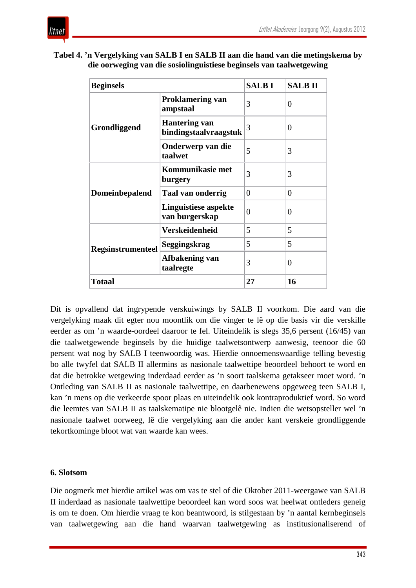

| Tabel 4. 'n Vergelyking van SALB I en SALB II aan die hand van die metingskema by |  |
|-----------------------------------------------------------------------------------|--|
| die oorweging van die sosiolinguistiese beginsels van taalwetgewing               |  |

| <b>Beginsels</b>         |                                               | <b>SALBI</b>   | <b>SALBII</b> |
|--------------------------|-----------------------------------------------|----------------|---------------|
|                          | <b>Proklamering van</b><br>ampstaal           | 3              | 0             |
| Grondliggend             | <b>Hantering van</b><br>bindingstaalvraagstuk | 3              | $\Omega$      |
|                          | Onderwerp van die<br>taalwet                  | 5              | 3             |
|                          | Kommunikasie met<br>burgery                   | 3              | 3             |
| <b>Domeinbepalend</b>    | Taal van onderrig                             | $\theta$       | 0             |
|                          | <b>Linguistiese aspekte</b><br>van burgerskap | $\overline{0}$ | 0             |
|                          | <b>Verskeidenheid</b>                         | 5              | 5             |
| <b>Regsinstrumenteel</b> | Seggingskrag                                  | 5              | 5             |
|                          | Afbakening van<br>taalregte                   | 3              | 0             |
| <b>Totaal</b>            |                                               | 27             | 16            |

Dit is opvallend dat ingrypende verskuiwings by SALB II voorkom. Die aard van die vergelyking maak dit egter nou moontlik om die vinger te lê op die basis vir die verskille eerder as om 'n waarde-oordeel daaroor te fel. Uiteindelik is slegs 35,6 persent (16/45) van die taalwetgewende beginsels by die huidige taalwetsontwerp aanwesig, teenoor die 60 persent wat nog by SALB I teenwoordig was. Hierdie onnoemenswaardige telling bevestig bo alle twyfel dat SALB II allermins as nasionale taalwettipe beoordeel behoort te word en dat die betrokke wetgewing inderdaad eerder as 'n soort taalskema getakseer moet word. 'n Ontleding van SALB II as nasionale taalwettipe, en daarbenewens opgeweeg teen SALB I, kan 'n mens op die verkeerde spoor plaas en uiteindelik ook kontraproduktief word. So word die leemtes van SALB II as taalskematipe nie blootgelê nie. Indien die wetsopsteller wel 'n nasionale taalwet oorweeg, lê die vergelyking aan die ander kant verskeie grondliggende tekortkominge bloot wat van waarde kan wees.

#### **6. Slotsom**

Die oogmerk met hierdie artikel was om vas te stel of die Oktober 2011-weergawe van SALB II inderdaad as nasionale taalwettipe beoordeel kan word soos wat heelwat ontleders geneig is om te doen. Om hierdie vraag te kon beantwoord, is stilgestaan by 'n aantal kernbeginsels van taalwetgewing aan die hand waarvan taalwetgewing as institusionaliserend of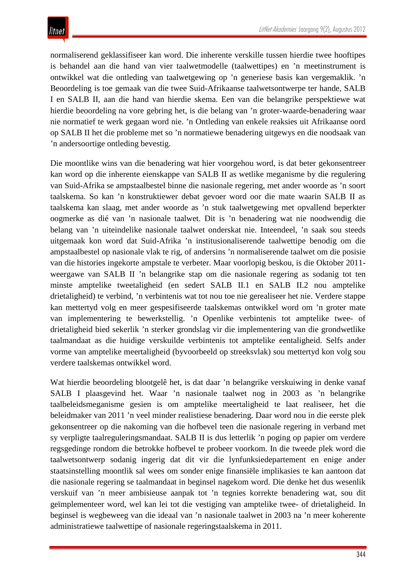normaliserend geklassifiseer kan word. Die inherente verskille tussen hierdie twee hooftipes is behandel aan die hand van vier taalwetmodelle (taalwettipes) en 'n meetinstrument is ontwikkel wat die ontleding van taalwetgewing op 'n generiese basis kan vergemaklik. 'n Beoordeling is toe gemaak van die twee Suid-Afrikaanse taalwetsontwerpe ter hande, SALB I en SALB II, aan die hand van hierdie skema. Een van die belangrike perspektiewe wat hierdie beoordeling na vore gebring het, is die belang van 'n groter-waarde-benadering waar nie normatief te werk gegaan word nie. 'n Ontleding van enkele reaksies uit Afrikaanse oord op SALB II het die probleme met so 'n normatiewe benadering uitgewys en die noodsaak van 'n andersoortige ontleding bevestig.

Die moontlike wins van die benadering wat hier voorgehou word, is dat beter gekonsentreer kan word op die inherente eienskappe van SALB II as wetlike meganisme by die regulering van Suid-Afrika se ampstaalbestel binne die nasionale regering, met ander woorde as 'n soort taalskema. So kan 'n konstruktiewer debat gevoer word oor die mate waarin SALB II as taalskema kan slaag, met ander woorde as 'n stuk taalwetgewing met opvallend beperkter oogmerke as dié van 'n nasionale taalwet. Dit is 'n benadering wat nie noodwendig die belang van 'n uiteindelike nasionale taalwet onderskat nie. Inteendeel, 'n saak sou steeds uitgemaak kon word dat Suid-Afrika 'n institusionaliserende taalwettipe benodig om die ampstaalbestel op nasionale vlak te rig, of andersins 'n normaliserende taalwet om die posisie van die histories ingekorte ampstale te verbeter. Maar voorlopig beskou, is die Oktober 2011 weergawe van SALB II 'n belangrike stap om die nasionale regering as sodanig tot ten minste amptelike tweetaligheid (en sedert SALB II.1 en SALB II.2 nou amptelike drietaligheid) te verbind, 'n verbintenis wat tot nou toe nie gerealiseer het nie. Verdere stappe kan mettertyd volg en meer gespesifiseerde taalskemas ontwikkel word om 'n groter mate van implementering te bewerkstellig. 'n Openlike verbintenis tot amptelike twee- of drietaligheid bied sekerlik 'n sterker grondslag vir die implementering van die grondwetlike taalmandaat as die huidige verskuilde verbintenis tot amptelike eentaligheid. Selfs ander vorme van amptelike meertaligheid (byvoorbeeld op streeksvlak) sou mettertyd kon volg sou verdere taalskemas ontwikkel word.

Wat hierdie beoordeling blootgelê het, is dat daar 'n belangrike verskuiwing in denke vanaf SALB I plaasgevind het. Waar 'n nasionale taalwet nog in 2003 as 'n belangrike taalbeleidsmeganisme gesien is om amptelike meertaligheid te laat realiseer, het die beleidmaker van 2011 'n veel minder realistiese benadering. Daar word nou in die eerste plek gekonsentreer op die nakoming van die hofbevel teen die nasionale regering in verband met sy verpligte taalreguleringsmandaat. SALB II is dus letterlik 'n poging op papier om verdere regsgedinge rondom die betrokke hofbevel te probeer voorkom. In die tweede plek word die taalwetsontwerp sodanig ingerig dat dit vir die lynfunksiedepartement en enige ander staatsinstelling moontlik sal wees om sonder enige finansiële implikasies te kan aantoon dat die nasionale regering se taalmandaat in beginsel nagekom word. Die denke het dus wesenlik verskuif van 'n meer ambisieuse aanpak tot 'n tegnies korrekte benadering wat, sou dit geïmplementeer word, wel kan lei tot die vestiging van amptelike twee- of drietaligheid. In beginsel is wegbeweeg van die ideaal van 'n nasionale taalwet in 2003 na 'n meer koherente administratiewe taalwettipe of nasionale regeringstaalskema in 2011.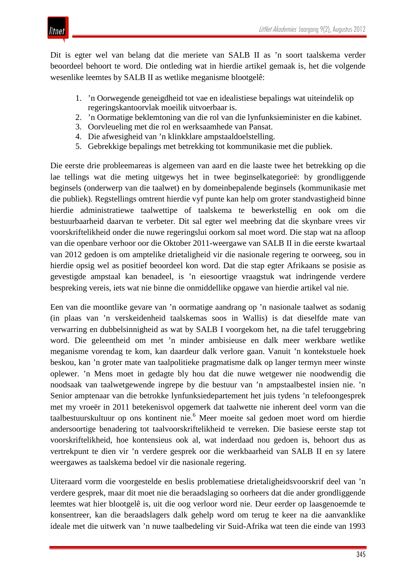

litnet

Dit is egter wel van belang dat die meriete van SALB II as 'n soort taalskema verder beoordeel behoort te word. Die ontleding wat in hierdie artikel gemaak is, het die volgende wesenlike leemtes by SALB II as wetlike meganisme blootgelê:

- 1. 'n Oorwegende geneigdheid tot vae en idealistiese bepalings wat uiteindelik op regeringskantoorvlak moeilik uitvoerbaar is.
- 2. 'n Oormatige beklemtoning van die rol van die lynfunksieminister en die kabinet.
- 3. Oorvleueling met die rol en werksaamhede van Pansat.
- 4. Die afwesigheid van 'n klinkklare ampstaaldoelstelling.
- 5. Gebrekkige bepalings met betrekking tot kommunikasie met die publiek.

Die eerste drie probleemareas is algemeen van aard en die laaste twee het betrekking op die lae tellings wat die meting uitgewys het in twee beginselkategorieë: by grondliggende beginsels (onderwerp van die taalwet) en by domeinbepalende beginsels (kommunikasie met die publiek). Regstellings omtrent hierdie vyf punte kan help om groter standvastigheid binne hierdie administratiewe taalwettipe of taalskema te bewerkstellig en ook om die bestuurbaarheid daarvan te verbeter. Dit sal egter wel meebring dat die skynbare vrees vir voorskriftelikheid onder die nuwe regeringslui oorkom sal moet word. Die stap wat na afloop van die openbare verhoor oor die Oktober 2011-weergawe van SALB II in die eerste kwartaal van 2012 gedoen is om amptelike drietaligheid vir die nasionale regering te oorweeg, sou in hierdie opsig wel as positief beoordeel kon word. Dat die stap egter Afrikaans se posisie as gevestigde ampstaal kan benadeel, is 'n eiesoortige vraagstuk wat indringende verdere bespreking vereis, iets wat nie binne die onmiddellike opgawe van hierdie artikel val nie.

Een van die moontlike gevare van 'n oormatige aandrang op 'n nasionale taalwet as sodanig (in plaas van 'n verskeidenheid taalskemas soos in Wallis) is dat dieselfde mate van verwarring en dubbelsinnigheid as wat by SALB I voorgekom het, na die tafel teruggebring word. Die geleentheid om met 'n minder ambisieuse en dalk meer werkbare wetlike meganisme vorendag te kom, kan daardeur dalk verlore gaan. Vanuit 'n kontekstuele hoek beskou, kan 'n groter mate van taalpolitieke pragmatisme dalk op langer termyn meer winste oplewer. 'n Mens moet in gedagte bly hou dat die nuwe wetgewer nie noodwendig die noodsaak van taalwetgewende ingrepe by die bestuur van 'n ampstaalbestel insien nie. 'n Senior amptenaar van die betrokke lynfunksiedepartement het juis tydens 'n telefoongesprek met my vroeër in 2011 betekenisvol opgemerk dat taalwette nie inherent deel vorm van die taalbestuurskultuur op ons kontinent nie.<sup>6</sup> Meer moeite sal gedoen moet word om hierdie andersoortige benadering tot taalvoorskriftelikheid te verreken. Die basiese eerste stap tot voorskriftelikheid, hoe kontensieus ook al, wat inderdaad nou gedoen is, behoort dus as vertrekpunt te dien vir 'n verdere gesprek oor die werkbaarheid van SALB II en sy latere weergawes as taalskema bedoel vir die nasionale regering.

Uiteraard vorm die voorgestelde en beslis problematiese drietaligheidsvoorskrif deel van 'n verdere gesprek, maar dit moet nie die beraadslaging so oorheers dat die ander grondliggende leemtes wat hier blootgelê is, uit die oog verloor word nie. Deur eerder op laasgenoemde te konsentreer, kan die beraadslagers dalk gehelp word om terug te keer na die aanvanklike ideale met die uitwerk van 'n nuwe taalbedeling vir Suid-Afrika wat teen die einde van 1993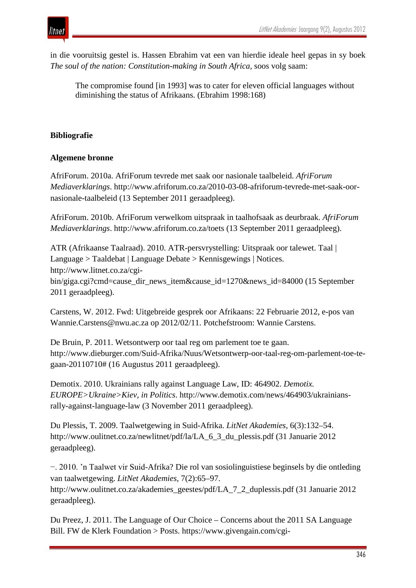

in die vooruitsig gestel is. Hassen Ebrahim vat een van hierdie ideale heel gepas in sy boek *The soul of the nation: Constitution-making in South Africa,* soos volg saam:

The compromise found [in 1993] was to cater for eleven official languages without diminishing the status of Afrikaans. (Ebrahim 1998:168)

### **Bibliografie**

#### **Algemene bronne**

AfriForum. 2010a. AfriForum tevrede met saak oor nasionale taalbeleid. *AfriForum Mediaverklarings*. http://www.afriforum.co.za/2010-03-08-afriforum-tevrede-met-saak-oornasionale-taalbeleid (13 September 2011 geraadpleeg).

AfriForum. 2010b. AfriForum verwelkom uitspraak in taalhofsaak as deurbraak. *AfriForum Mediaverklarings*. http://www.afriforum.co.za/toets (13 September 2011 geraadpleeg).

ATR (Afrikaanse Taalraad). 2010. ATR-persvrystelling: Uitspraak oor talewet. Taal | Language > Taaldebat | Language Debate > Kennisgewings | Notices. http://www.litnet.co.za/cgibin/giga.cgi?cmd=cause\_dir\_news\_item&cause\_id=1270&news\_id=84000 (15 September 2011 geraadpleeg).

Carstens, W. 2012. Fwd: Uitgebreide gesprek oor Afrikaans: 22 Februarie 2012, e-pos van Wannie.Carstens@nwu.ac.za op 2012/02/11. Potchefstroom: Wannie Carstens.

De Bruin, P. 2011. Wetsontwerp oor taal reg om parlement toe te gaan. http://www.dieburger.com/Suid-Afrika/Nuus/Wetsontwerp-oor-taal-reg-om-parlement-toe-tegaan-20110710# (16 Augustus 2011 geraadpleeg).

Demotix. 2010. Ukrainians rally against Language Law, ID: 464902. *Demotix. EUROPE>Ukraine>Kiev, in Politics*. http://www.demotix.com/news/464903/ukrainiansrally-against-language-law (3 November 2011 geraadpleeg).

Du Plessis, T. 2009. Taalwetgewing in Suid-Afrika. *LitNet Akademies,* 6(3):132–54. http://www.oulitnet.co.za/newlitnet/pdf/la/LA\_6\_3\_du\_plessis.pdf (31 Januarie 2012 geraadpleeg).

−. 2010. 'n Taalwet vir Suid-Afrika? Die rol van sosiolinguistiese beginsels by die ontleding van taalwetgewing. *LitNet Akademies,* 7(2):65–97. http://www.oulitnet.co.za/akademies\_geestes/pdf/LA\_7\_2\_duplessis.pdf (31 Januarie 2012 geraadpleeg).

Du Preez, J. 2011. The Language of Our Choice – Concerns about the 2011 SA Language Bill. FW de Klerk Foundation > Posts. https://www.givengain.com/cgi-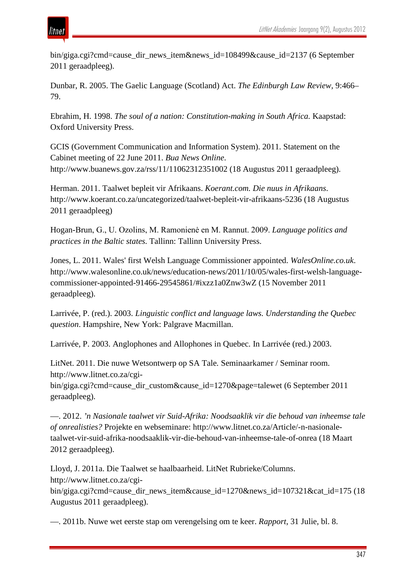

bin/giga.cgi?cmd=cause\_dir\_news\_item&news\_id=108499&cause\_id=2137 (6 September 2011 geraadpleeg).

Dunbar, R. 2005. The Gaelic Language (Scotland) Act. *The Edinburgh Law Review,* 9:466– 79.

Ebrahim, H. 1998. *The soul of a nation: Constitution-making in South Africa.* Kaapstad: Oxford University Press.

GCIS (Government Communication and Information System). 2011. Statement on the Cabinet meeting of 22 June 2011. *Bua News Online*. http://www.buanews.gov.za/rss/11/11062312351002 (18 Augustus 2011 geraadpleeg).

Herman. 2011. Taalwet bepleit vir Afrikaans. *Koerant.com. Die nuus in Afrikaans*. http://www.koerant.co.za/uncategorized/taalwet-bepleit-vir-afrikaans-5236 (18 Augustus 2011 geraadpleeg)

Hogan-Brun, G., U. Ozolins, M. Ramonienė en M. Rannut. 2009. *Language politics and practices in the Baltic states.* Tallinn: Tallinn University Press.

Jones, L. 2011. Wales' first Welsh Language Commissioner appointed. *WalesOnline.co.uk*. http://www.walesonline.co.uk/news/education-news/2011/10/05/wales-first-welsh-languagecommissioner-appointed-91466-29545861/#ixzz1a0Znw3wZ (15 November 2011 geraadpleeg).

Larrivée, P. (red.). 2003. *Linguistic conflict and language laws. Understanding the Quebec question*. Hampshire, New York: Palgrave Macmillan.

Larrivée, P. 2003. Anglophones and Allophones in Quebec. In Larrivée (red.) 2003.

LitNet. 2011. Die nuwe Wetsontwerp op SA Tale*.* Seminaarkamer / Seminar room. http://www.litnet.co.za/cgi-

bin/giga.cgi?cmd=cause\_dir\_custom&cause\_id=1270&page=talewet (6 September 2011 geraadpleeg).

—. 2012. *'n Nasionale taalwet vir Suid-Afrika: Noodsaaklik vir die behoud van inheemse tale of onrealisties?* Projekte en webseminare: http://www.litnet.co.za/Article/-n-nasionaletaalwet-vir-suid-afrika-noodsaaklik-vir-die-behoud-van-inheemse-tale-of-onrea (18 Maart 2012 geraadpleeg).

Lloyd, J. 2011a. Die Taalwet se haalbaarheid. LitNet Rubrieke/Columns. http://www.litnet.co.za/cgi-

bin/giga.cgi?cmd=cause\_dir\_news\_item&cause\_id=1270&news\_id=107321&cat\_id=175 (18 Augustus 2011 geraadpleeg).

—. 2011b. Nuwe wet eerste stap om verengelsing om te keer. *Rapport*, 31 Julie, bl. 8.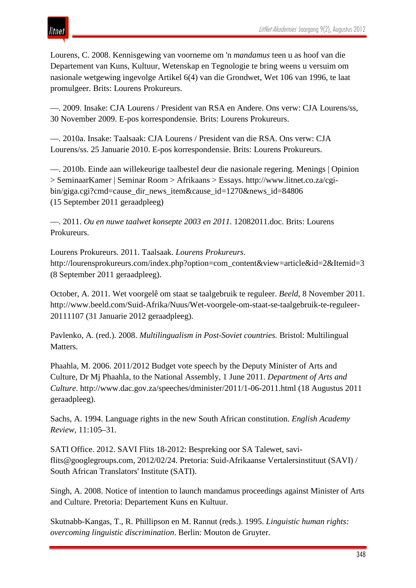## ıtnet

Lourens, C. 2008. Kennisgewing van voorneme om 'n *mandamus* teen u as hoof van die Departement van Kuns, Kultuur, Wetenskap en Tegnologie te bring weens u versuim om nasionale wetgewing ingevolge Artikel 6(4) van die Grondwet, Wet 106 van 1996, te laat promulgeer. Brits: Lourens Prokureurs.

—. 2009. Insake: CJA Lourens / President van RSA en Andere. Ons verw: CJA Lourens/ss, 30 November 2009. E-pos korrespondensie. Brits: Lourens Prokureurs.

—. 2010a. Insake: Taalsaak: CJA Lourens / President van die RSA. Ons verw: CJA Lourens/ss. 25 Januarie 2010. E-pos korrespondensie. Brits: Lourens Prokureurs.

—. 2010b. Einde aan willekeurige taalbestel deur die nasionale regering. Menings | Opinion > SeminaarKamer | Seminar Room > Afrikaans > Essays. http://www.litnet.co.za/cgibin/giga.cgi?cmd=cause\_dir\_news\_item&cause\_id=1270&news\_id=84806 (15 September 2011 geraadpleeg)

—. 2011. *Ou en nuwe taalwet konsepte 2003 en 2011*. 12082011.doc. Brits: Lourens Prokureurs.

Lourens Prokureurs. 2011. Taalsaak. *Lourens Prokureurs*. http://lourensprokureurs.com/index.php?option=com\_content&view=article&id=2&Itemid=3 (8 September 2011 geraadpleeg).

October, A. 2011. Wet voorgelê om staat se taalgebruik te reguleer. *Beeld*, 8 November 2011. http://www.beeld.com/Suid-Afrika/Nuus/Wet-voorgele-om-staat-se-taalgebruik-te-reguleer-20111107 (31 Januarie 2012 geraadpleeg).

Pavlenko, A. (red.). 2008. *Multilingualism in Post-Soviet countries.* Bristol: Multilingual Matters.

Phaahla, M. 2006. 2011/2012 Budget vote speech by the Deputy Minister of Arts and Culture, Dr Mj Phaahla, to the National Assembly, 1 June 2011. *Department of Arts and Culture*. http://www.dac.gov.za/speeches/dminister/2011/1-06-2011.html (18 Augustus 2011 geraadpleeg).

Sachs, A. 1994. Language rights in the new South African constitution. *English Academy Review,* 11:105–31.

SATI Office. 2012. SAVI Flits 18-2012: Bespreking oor SA Talewet, saviflits@googlegroups.com, 2012/02/24. Pretoria: Suid-Afrikaanse Vertalersinstituut (SAVI) / South African Translators' Institute (SATI).

Singh, A. 2008. Notice of intention to launch mandamus proceedings against Minister of Arts and Culture. Pretoria: Departement Kuns en Kultuur.

Skutnabb-Kangas, T., R. Phillipson en M. Rannut (reds.). 1995. *Linguistic human rights: overcoming linguistic discrimination*. Berlin: Mouton de Gruyter.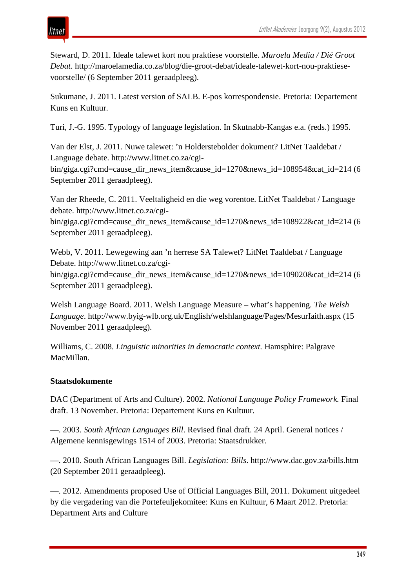

Steward, D. 2011. Ideale talewet kort nou praktiese voorstelle. *Maroela Media / Dié Groot Debat*. http://maroelamedia.co.za/blog/die-groot-debat/ideale-talewet-kort-nou-praktiesevoorstelle/ (6 September 2011 geraadpleeg).

Sukumane, J. 2011. Latest version of SALB. E-pos korrespondensie. Pretoria: Departement Kuns en Kultuur.

Turi, J.-G. 1995. Typology of language legislation. In Skutnabb-Kangas e.a. (reds.) 1995.

Van der Elst, J. 2011. Nuwe talewet: 'n Holderstebolder dokument? LitNet Taaldebat / Language debate. http://www.litnet.co.za/cgibin/giga.cgi?cmd=cause\_dir\_news\_item&cause\_id=1270&news\_id=108954&cat\_id=214 (6 September 2011 geraadpleeg).

Van der Rheede, C. 2011. Veeltaligheid en die weg vorentoe. LitNet Taaldebat / Language debate. http://www.litnet.co.za/cgi-

bin/giga.cgi?cmd=cause\_dir\_news\_item&cause\_id=1270&news\_id=108922&cat\_id=214 (6 September 2011 geraadpleeg).

Webb, V. 2011. Lewegewing aan 'n herrese SA Talewet? LitNet Taaldebat / Language Debate. http://www.litnet.co.za/cgibin/giga.cgi?cmd=cause\_dir\_news\_item&cause\_id=1270&news\_id=109020&cat\_id=214 (6) September 2011 geraadpleeg).

Welsh Language Board. 2011. Welsh Language Measure – what's happening. *The Welsh Language*. http://www.byig-wlb.org.uk/English/welshlanguage/Pages/MesurIaith.aspx (15 November 2011 geraadpleeg).

Williams, C. 2008. *Linguistic minorities in democratic context.* Hamsphire: Palgrave MacMillan.

#### **Staatsdokumente**

DAC (Department of Arts and Culture). 2002. *National Language Policy Framework.* Final draft. 13 November. Pretoria: Departement Kuns en Kultuur.

—. 2003. *South African Languages Bill*. Revised final draft. 24 April. General notices / Algemene kennisgewings 1514 of 2003. Pretoria: Staatsdrukker.

—. 2010. South African Languages Bill. *Legislation: Bills*. http://www.dac.gov.za/bills.htm (20 September 2011 geraadpleeg).

—. 2012. Amendments proposed Use of Official Languages Bill, 2011. Dokument uitgedeel by die vergadering van die Portefeuljekomitee: Kuns en Kultuur, 6 Maart 2012. Pretoria: Department Arts and Culture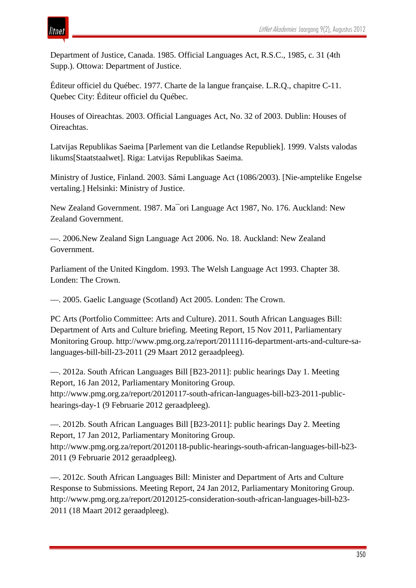

Department of Justice, Canada. 1985. Official Languages Act, R.S.C., 1985, c. 31 (4th Supp.). Ottowa: Department of Justice.

Éditeur officiel du Québec. 1977. Charte de la langue française. L.R.Q., chapitre C-11. Quebec City: Éditeur officiel du Québec.

Houses of Oireachtas. 2003. Official Languages Act, No. 32 of 2003. Dublin: Houses of Oireachtas.

Latvijas Republikas Saeima [Parlement van die Letlandse Republiek]. 1999. Valsts valodas likums[Staatstaalwet]. Riga: Latvijas Republikas Saeima.

Ministry of Justice, Finland. 2003. Sámi Language Act (1086/2003). [Nie-amptelike Engelse vertaling.] Helsinki: Ministry of Justice.

New Zealand Government. 1987. Ma¯ori Language Act 1987, No. 176. Auckland: New Zealand Government.

—. 2006.New Zealand Sign Language Act 2006. No. 18. Auckland: New Zealand Government.

Parliament of the United Kingdom. 1993. The Welsh Language Act 1993. Chapter 38. Londen: The Crown.

—. 2005. Gaelic Language (Scotland) Act 2005. Londen: The Crown.

PC Arts (Portfolio Committee: Arts and Culture). 2011. South African Languages Bill: Department of Arts and Culture briefing. Meeting Report, 15 Nov 2011, Parliamentary Monitoring Group. http://www.pmg.org.za/report/20111116-department-arts-and-culture-salanguages-bill-bill-23-2011 (29 Maart 2012 geraadpleeg).

—. 2012a. South African Languages Bill [B23-2011]: public hearings Day 1. Meeting Report, 16 Jan 2012, Parliamentary Monitoring Group. http://www.pmg.org.za/report/20120117-south-african-languages-bill-b23-2011-publichearings-day-1 (9 Februarie 2012 geraadpleeg).

—. 2012b. South African Languages Bill [B23-2011]: public hearings Day 2. Meeting Report, 17 Jan 2012, Parliamentary Monitoring Group. http://www.pmg.org.za/report/20120118-public-hearings-south-african-languages-bill-b23- 2011 (9 Februarie 2012 geraadpleeg).

—. 2012c. South African Languages Bill: Minister and Department of Arts and Culture Response to Submissions. Meeting Report, 24 Jan 2012, Parliamentary Monitoring Group. http://www.pmg.org.za/report/20120125-consideration-south-african-languages-bill-b23- 2011 (18 Maart 2012 geraadpleeg).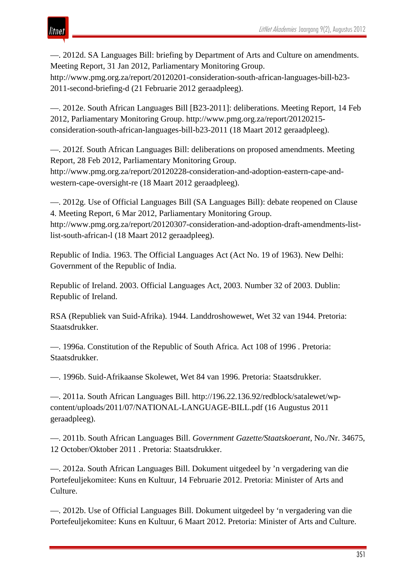## itnet

—. 2012d. SA Languages Bill: briefing by Department of Arts and Culture on amendments. Meeting Report, 31 Jan 2012, Parliamentary Monitoring Group. http://www.pmg.org.za/report/20120201-consideration-south-african-languages-bill-b23- 2011-second-briefing-d (21 Februarie 2012 geraadpleeg).

—. 2012e. South African Languages Bill [B23-2011]: deliberations. Meeting Report, 14 Feb 2012, Parliamentary Monitoring Group. http://www.pmg.org.za/report/20120215 consideration-south-african-languages-bill-b23-2011 (18 Maart 2012 geraadpleeg).

—. 2012f. South African Languages Bill: deliberations on proposed amendments. Meeting Report, 28 Feb 2012, Parliamentary Monitoring Group. http://www.pmg.org.za/report/20120228-consideration-and-adoption-eastern-cape-andwestern-cape-oversight-re (18 Maart 2012 geraadpleeg).

—. 2012g. Use of Official Languages Bill (SA Languages Bill): debate reopened on Clause 4. Meeting Report, 6 Mar 2012, Parliamentary Monitoring Group. http://www.pmg.org.za/report/20120307-consideration-and-adoption-draft-amendments-listlist-south-african-l (18 Maart 2012 geraadpleeg).

Republic of India. 1963. The Official Languages Act (Act No. 19 of 1963). New Delhi: Government of the Republic of India.

Republic of Ireland. 2003. Official Languages Act, 2003. Number 32 of 2003. Dublin: Republic of Ireland.

RSA (Republiek van Suid-Afrika). 1944. Landdroshowewet, Wet 32 van 1944. Pretoria: Staatsdrukker.

—. 1996a. Constitution of the Republic of South Africa. Act 108 of 1996 . Pretoria: Staatsdrukker.

—. 1996b. Suid-Afrikaanse Skolewet, Wet 84 van 1996. Pretoria: Staatsdrukker.

—. 2011a. South African Languages Bill. http://196.22.136.92/redblock/satalewet/wpcontent/uploads/2011/07/NATIONAL-LANGUAGE-BILL.pdf (16 Augustus 2011 geraadpleeg).

—. 2011b. South African Languages Bill. *Government Gazette/Staatskoerant*, No./Nr. 34675, 12 October/Oktober 2011 . Pretoria: Staatsdrukker.

—. 2012a. South African Languages Bill. Dokument uitgedeel by 'n vergadering van die Portefeuljekomitee: Kuns en Kultuur, 14 Februarie 2012. Pretoria: Minister of Arts and Culture.

—. 2012b. Use of Official Languages Bill. Dokument uitgedeel by 'n vergadering van die Portefeuljekomitee: Kuns en Kultuur, 6 Maart 2012. Pretoria: Minister of Arts and Culture.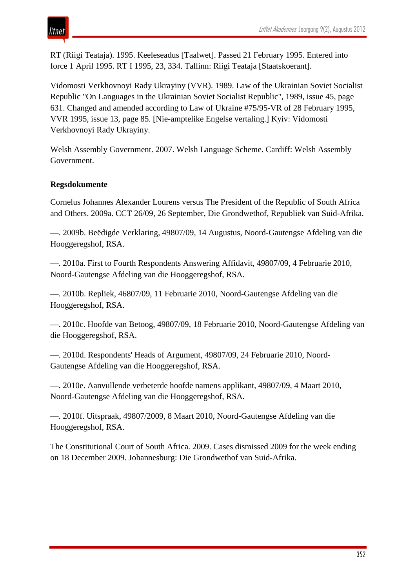RT (Riigi Teataja). 1995. Keeleseadus [Taalwet]. Passed 21 February 1995. Entered into force 1 April 1995. RT I 1995, 23, 334. Tallinn: Riigi Teataja [Staatskoerant].

Vidomosti Verkhovnoyi Rady Ukrayiny (VVR). 1989. Law of the Ukrainian Soviet Socialist Republic "On Languages in the Ukrainian Soviet Socialist Republic", 1989, issue 45, page 631. Changed and amended according to Law of Ukraine #75/95-VR of 28 February 1995, VVR 1995, issue 13, page 85. [Nie-amptelike Engelse vertaling.] Kyiv: Vidomosti Verkhovnoyi Rady Ukrayiny.

Welsh Assembly Government. 2007. Welsh Language Scheme. Cardiff: Welsh Assembly Government.

### **Regsdokumente**

Cornelus Johannes Alexander Lourens versus The President of the Republic of South Africa and Others. 2009a. CCT 26/09, 26 September, Die Grondwethof, Republiek van Suid-Afrika.

—. 2009b. Beëdigde Verklaring, 49807/09, 14 Augustus, Noord-Gautengse Afdeling van die Hooggeregshof, RSA.

—. 2010a. First to Fourth Respondents Answering Affidavit, 49807/09, 4 Februarie 2010, Noord-Gautengse Afdeling van die Hooggeregshof, RSA.

—. 2010b. Repliek, 46807/09, 11 Februarie 2010, Noord-Gautengse Afdeling van die Hooggeregshof, RSA.

—. 2010c. Hoofde van Betoog, 49807/09, 18 Februarie 2010, Noord-Gautengse Afdeling van die Hooggeregshof, RSA.

—. 2010d. Respondents' Heads of Argument, 49807/09, 24 Februarie 2010, Noord-Gautengse Afdeling van die Hooggeregshof, RSA.

—. 2010e. Aanvullende verbeterde hoofde namens applikant, 49807/09, 4 Maart 2010, Noord-Gautengse Afdeling van die Hooggeregshof, RSA.

—. 2010f. Uitspraak, 49807/2009, 8 Maart 2010, Noord-Gautengse Afdeling van die Hooggeregshof, RSA.

The Constitutional Court of South Africa. 2009. Cases dismissed 2009 for the week ending on 18 December 2009. Johannesburg: Die Grondwethof van Suid-Afrika.